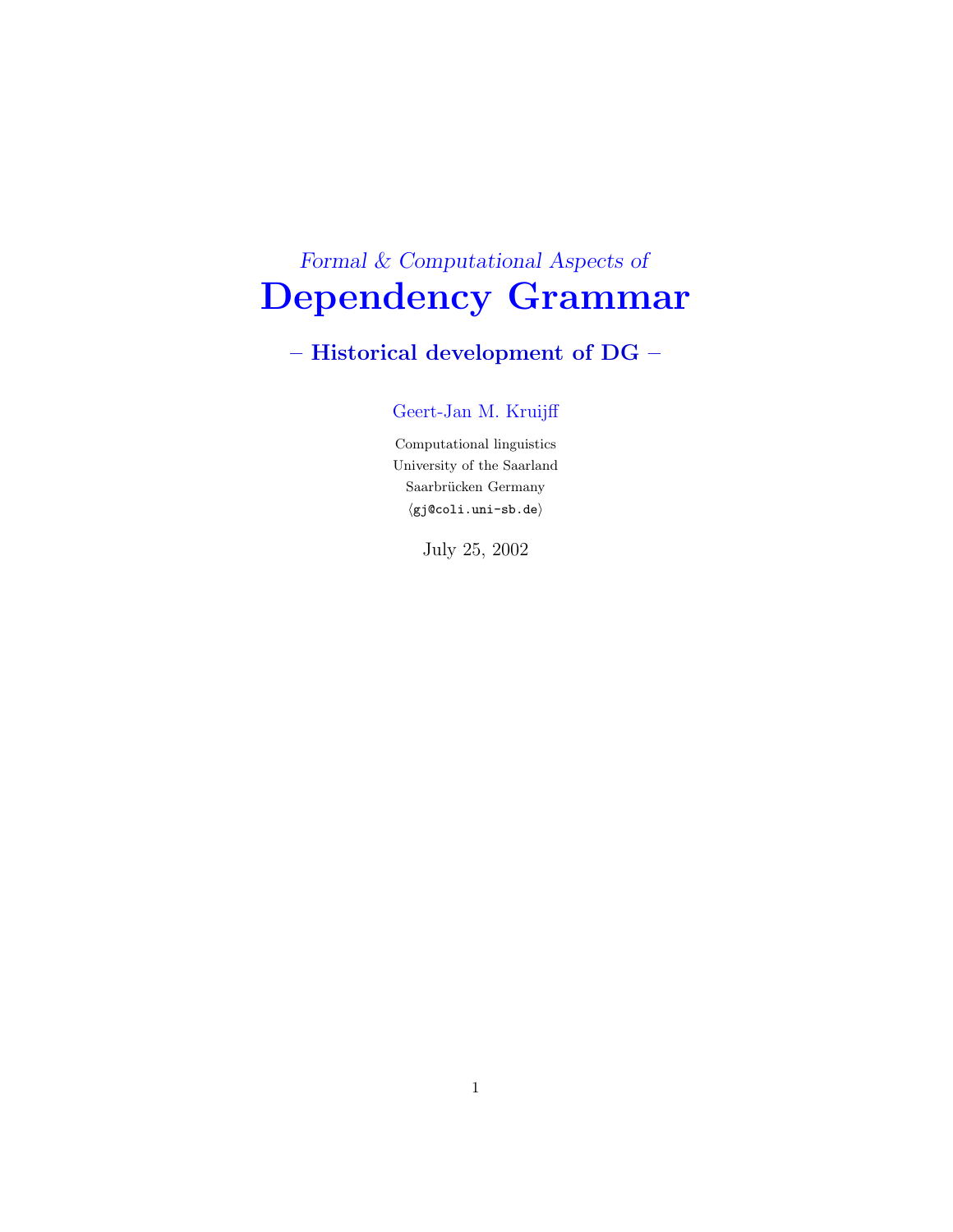# Formal & Computational Aspects of Dependency Grammar

## – Historical development of DG –

### Geert-Jan M. Kruijff

Computational linguistics University of the Saarland  $\sf Saarbrücken$   $\sf Germany$  $\langle$ gj@coli.uni-sb.de $\rangle$ 

July 25, 2002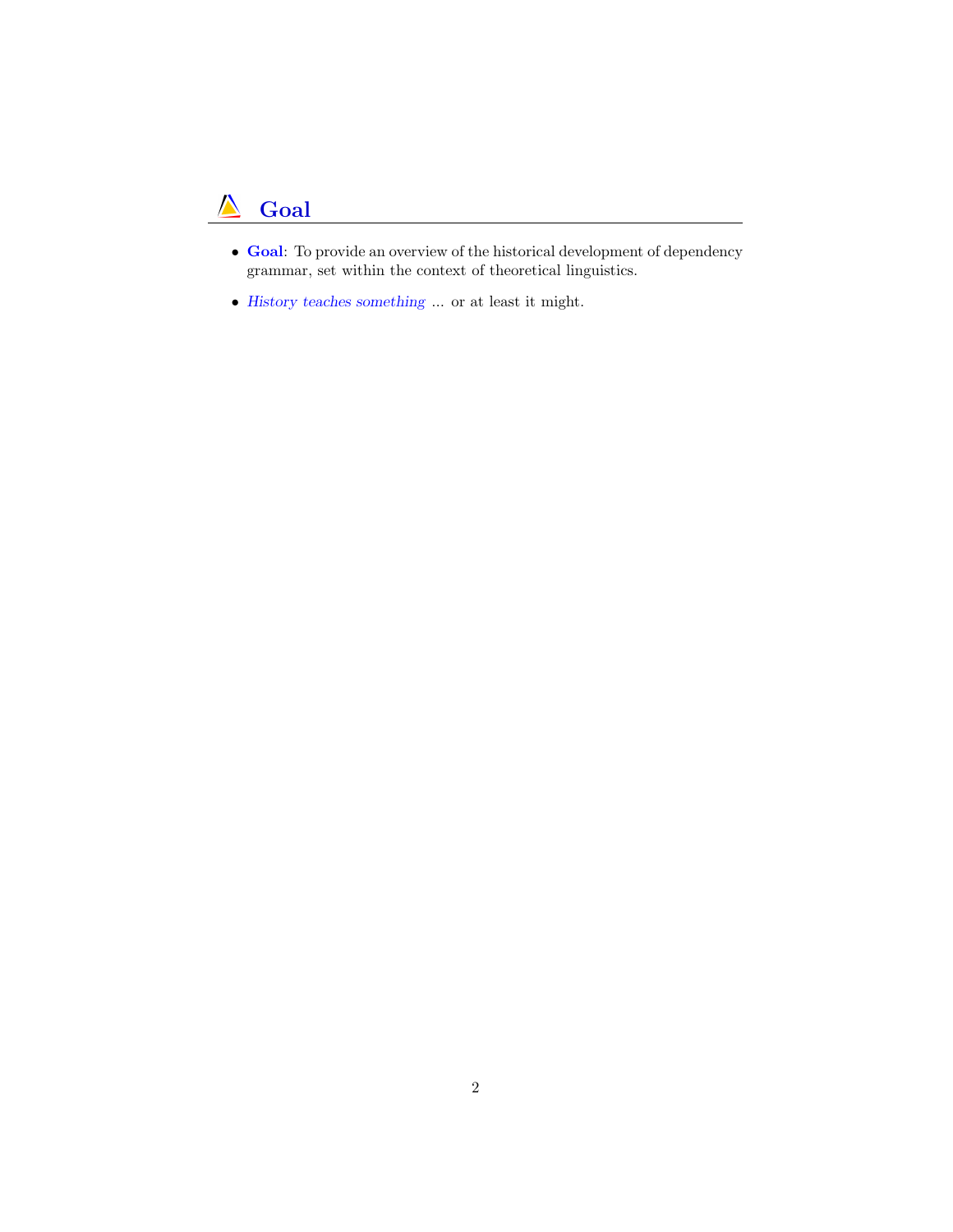#### $\Lambda$ Goal

- <span id="page-1-0"></span>• Goal: To provide an overview of the historical development of dependency grammar, set within the context of theoretical linguistics.
- History teaches something ... or at least it might.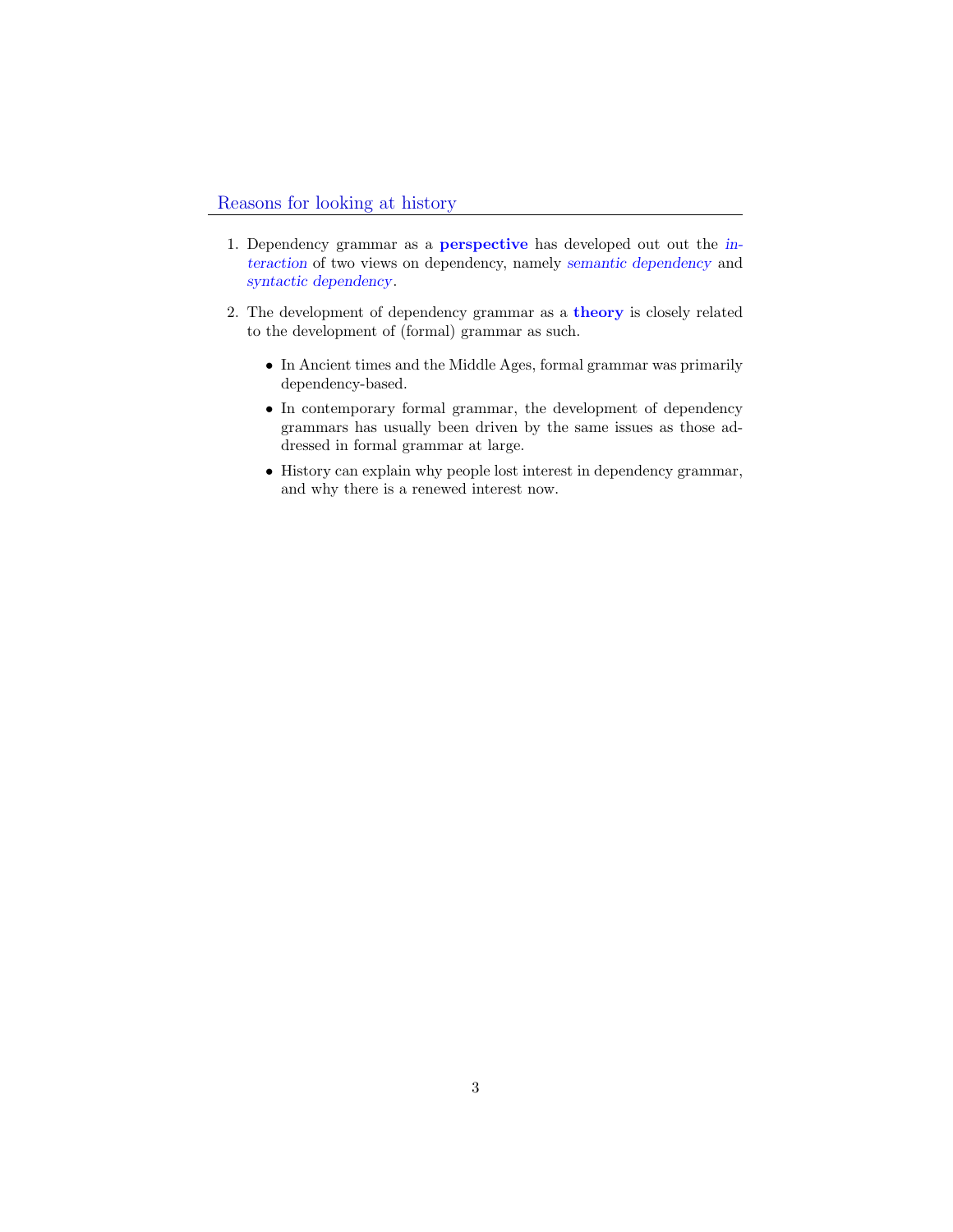- <span id="page-2-0"></span>1. Dependency grammar as a perspective has developed out out the interaction of two views on dependency, namely semantic dependency and syntactic dependency.
- <span id="page-2-1"></span>2. The development of dependency grammar as a theory is closely related to the development of (formal) grammar as such.
	- In Ancient times and the Middle Ages, formal grammar was primarily dependency-based.
	- In contemporary formal grammar, the development of dependency grammars has usually been driven by the same issues as those addressed in formal grammar at large.
	- History can explain why people lost interest in dependency grammar, and why there is a renewed interest now.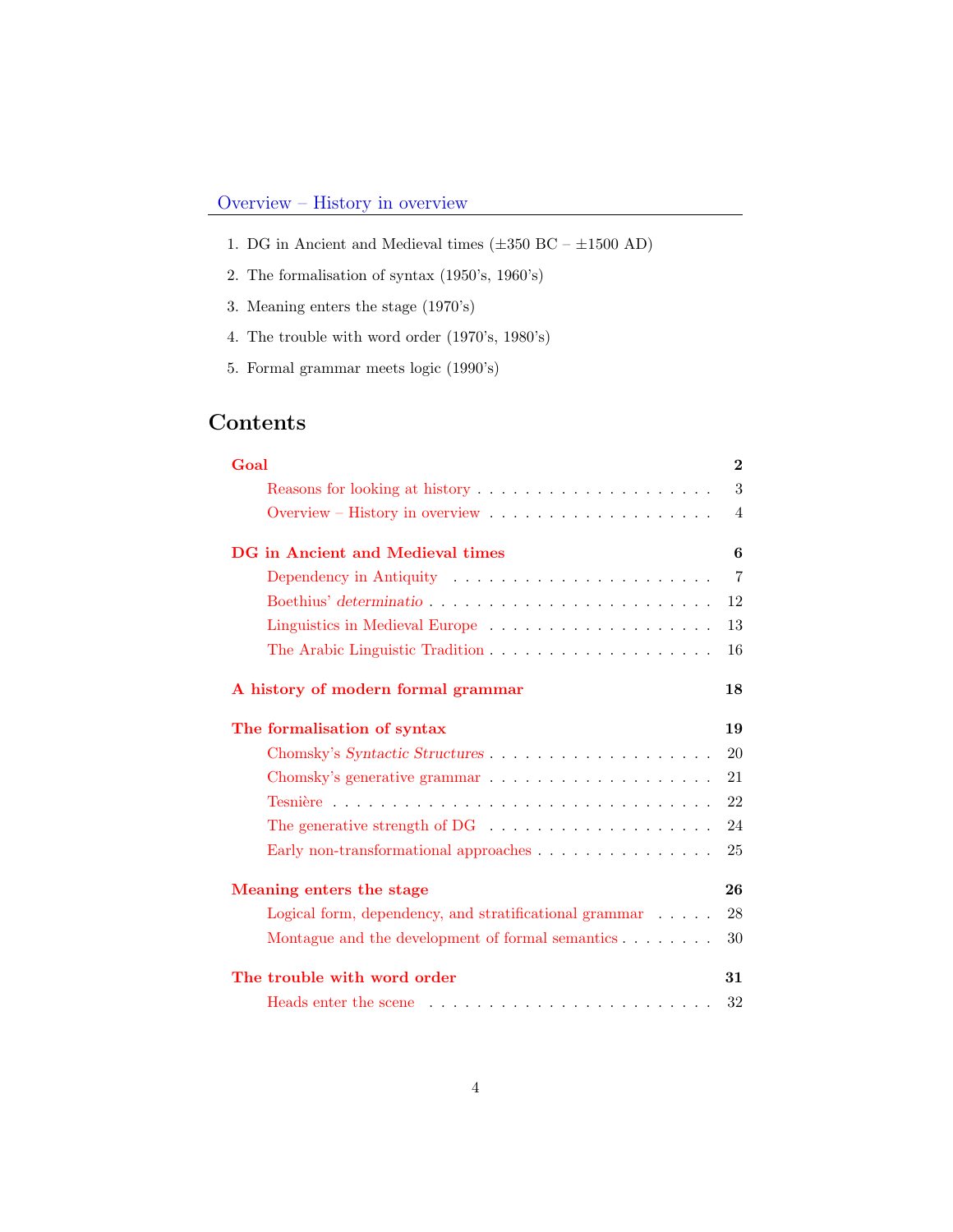- 1. DG in Ancient and Medieval times  $(\pm 350$  BC  $\pm 1500$  AD)
- 2. The formalisation of syntax (1950's, 1960's)
- 3. Meaning enters the stage (1970's)
- 4. The trouble with word order (1970's, 1980's)
- 5. Formal grammar meets logic (1990's)

## Contents

<span id="page-3-0"></span>

| Goal                                                                                                                                                                                                                           | $\bf{2}$       |
|--------------------------------------------------------------------------------------------------------------------------------------------------------------------------------------------------------------------------------|----------------|
|                                                                                                                                                                                                                                | 3              |
|                                                                                                                                                                                                                                | $\overline{4}$ |
| DG in Ancient and Medieval times                                                                                                                                                                                               | 6              |
| Dependency in Antiquity (and all our contract of the Microsoftenium of the Dependency in Antiquity (all of the Microsoftenium of the Microsoftenium of the Microsoftenium of the Microsoftenium of the Microsoftenium of the M | $\overline{7}$ |
|                                                                                                                                                                                                                                | 12             |
|                                                                                                                                                                                                                                | 13             |
| The Arabic Linguistic Tradition                                                                                                                                                                                                | 16             |
| A history of modern formal grammar                                                                                                                                                                                             | 18             |
| The formalisation of syntax                                                                                                                                                                                                    | 19             |
|                                                                                                                                                                                                                                | 20             |
|                                                                                                                                                                                                                                | 21             |
|                                                                                                                                                                                                                                | 22             |
| The generative strength of DG $\ldots \ldots \ldots \ldots \ldots \ldots$                                                                                                                                                      | 24             |
| Early non-transformational approaches $\ldots \ldots \ldots \ldots \ldots$                                                                                                                                                     | 25             |
| Meaning enters the stage                                                                                                                                                                                                       | 26             |
| Logical form, dependency, and stratificational grammar                                                                                                                                                                         | 28             |
| Montague and the development of formal semantics                                                                                                                                                                               | 30             |
| The trouble with word order                                                                                                                                                                                                    | 31             |
|                                                                                                                                                                                                                                | 32             |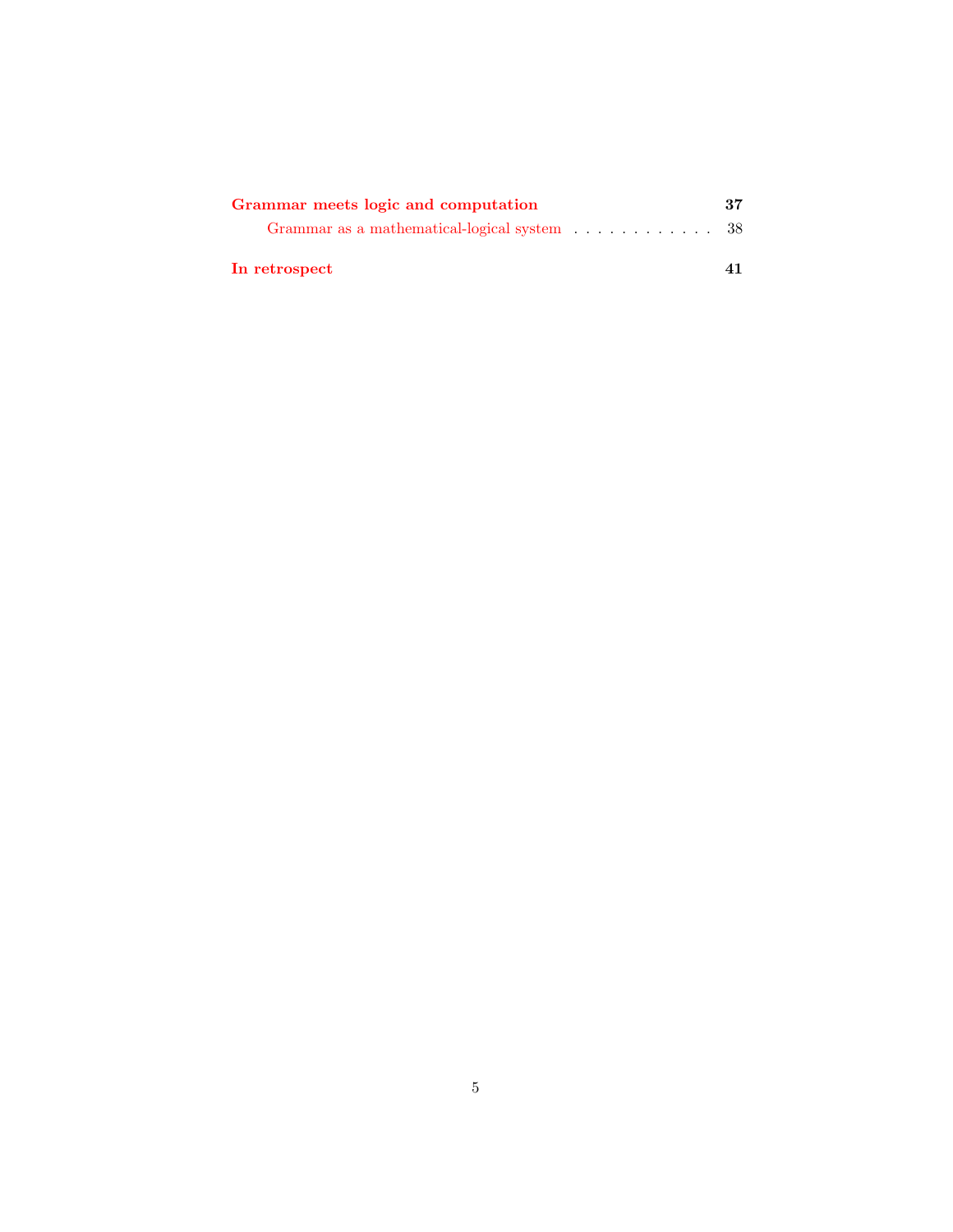| Grammar meets logic and computation         | 37 |
|---------------------------------------------|----|
| Grammar as a mathematical-logical system 38 |    |
| In retrospect                               |    |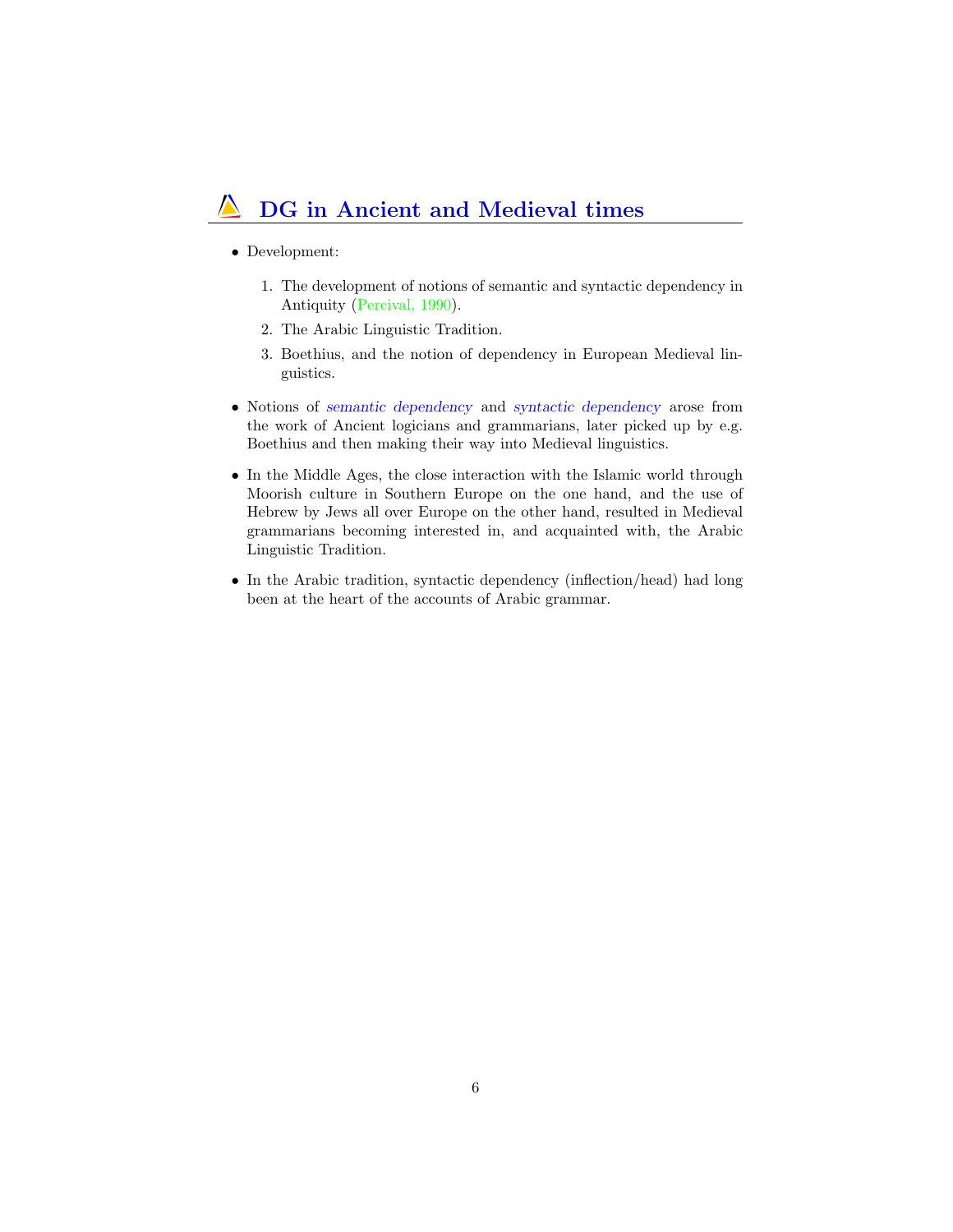## DG in Ancient and Medieval times

- Development:
	- 1. The development of notions of semantic and syntactic dependency in Antiquity (Percival, 1990).
	- 2. The Arabic Linguistic Tradition.
	- 3. Boethius, and the notion of dependency in European Medieval linguistics.
- <span id="page-5-0"></span>• Notions of semantic dependency and syntactic dependency arose from the work of Ancient logicians and grammarians, later picked up by e.g. Boethius and then making their way into Medieval linguistics.
- In the Middle Ages, the close interaction with the Islamic world through Moorish culture in Southern Europe on the one hand, and the use of Hebrew by Jews all over Europe on the other hand, resulted in Medieval grammarians becoming interested in, and acquainted with, the Arabic Linguistic Tradition.
- In the Arabic tradition, syntactic dependency (inflection/head) had long been at the heart of the accounts of Arabic grammar.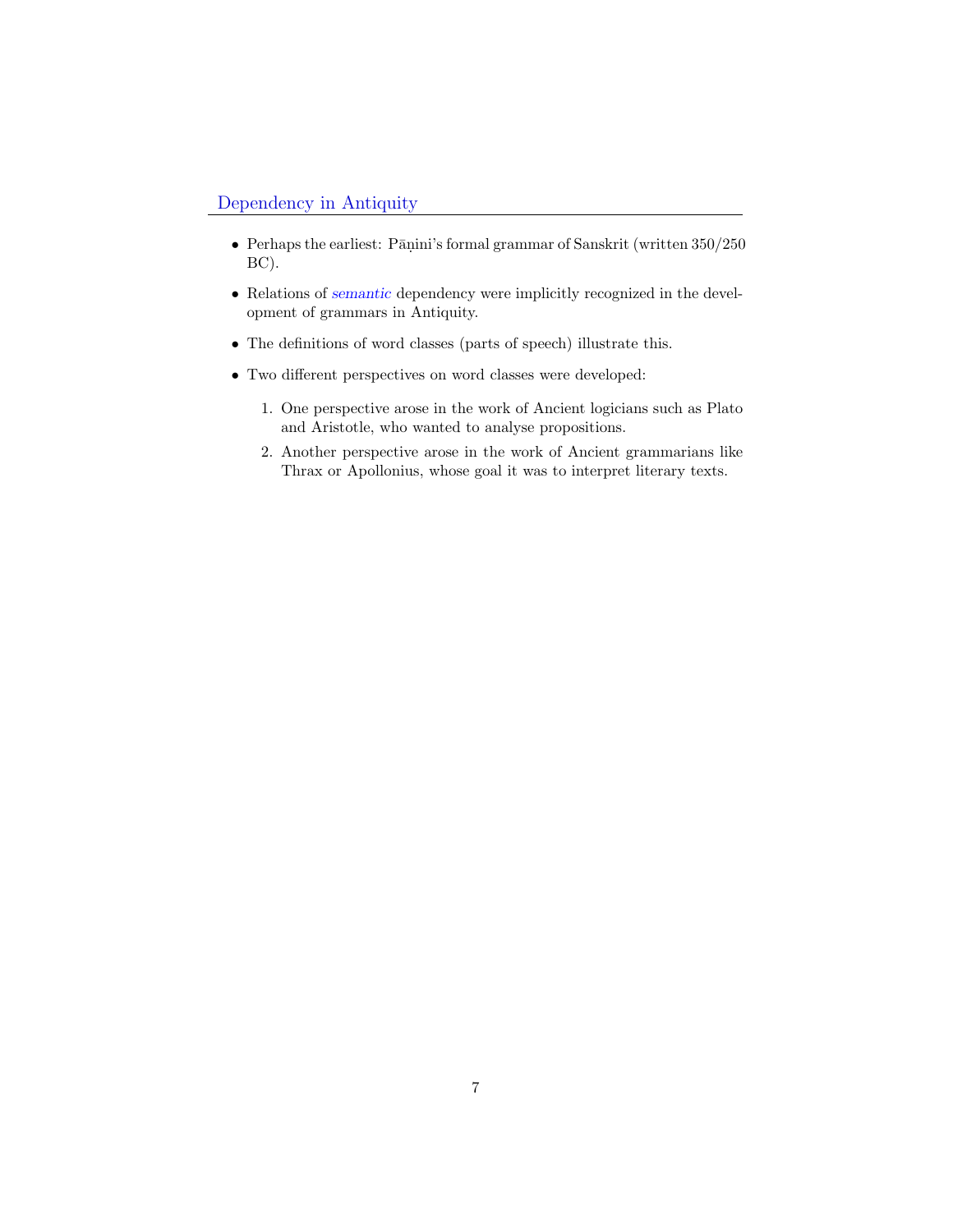### Dependency in Antiquity

- $\bullet~$  Perhaps the earliest: Pāṇini's formal grammar of Sanskrit (written  $350/250$ BC).
- Relations of *semantic* dependency were implicitly recognized in the development of grammars in Antiquity.
- The definitions of word classes (parts of speech) illustrate this.
- Two different perspectives on word classes were developed:
	- 1. One perspective arose in the work of Ancient logicians such as Plato and Aristotle, who wanted to analyse propositions.
	- 2. Another perspective arose in the work of Ancient grammarians like Thrax or Apollonius, whose goal it was to interpret literary texts.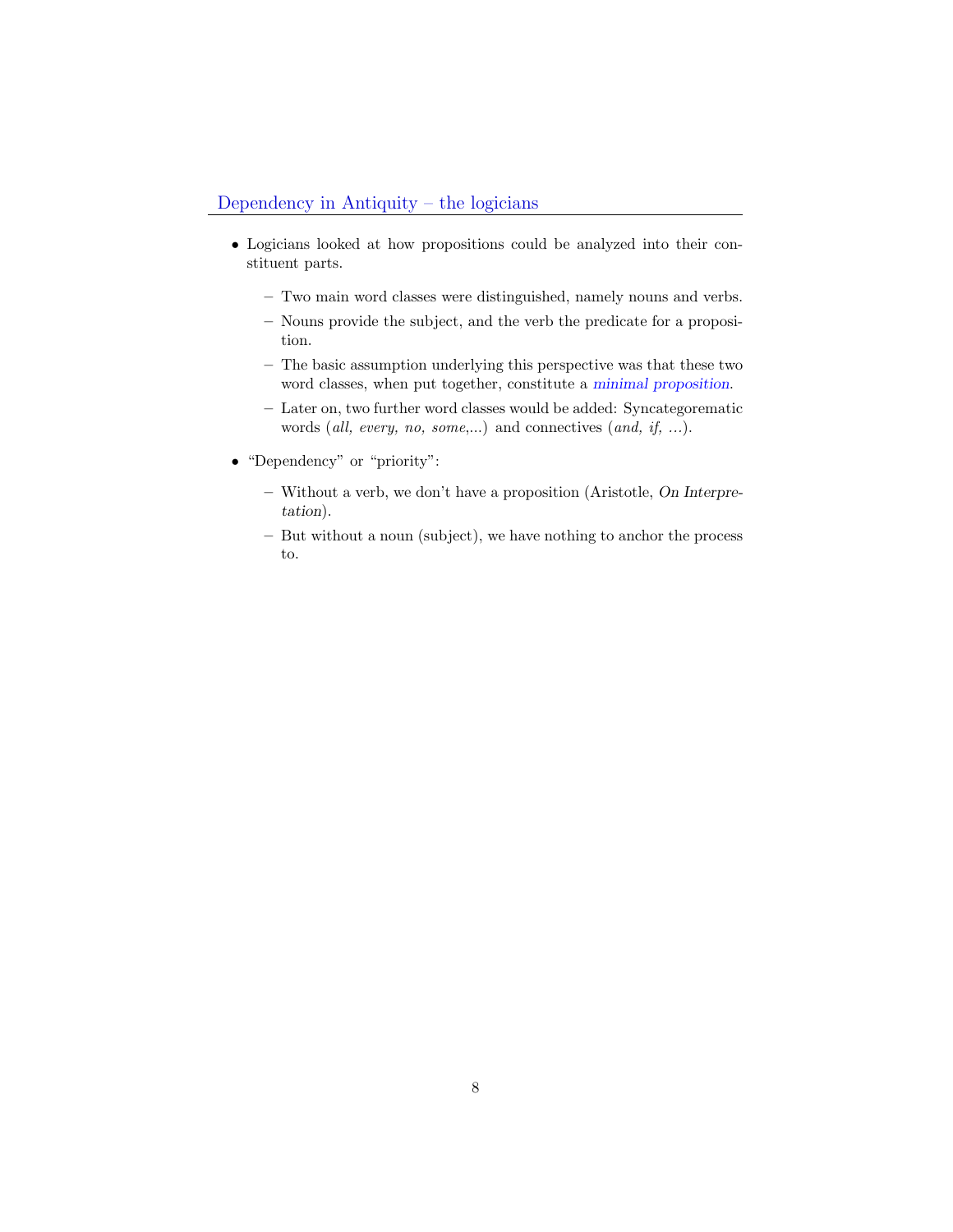- Logicians looked at how propositions could be analyzed into their constituent parts.
	- Two main word classes were distinguished, namely nouns and verbs.
	- Nouns provide the subject, and the verb the predicate for a proposition.
	- The basic assumption underlying this perspective was that these two word classes, when put together, constitute a minimal proposition.
	- Later on, two further word classes would be added: Syncategorematic words (all, every, no, some,...) and connectives (and, if, ...).
- "Dependency" or "priority":
	- Without a verb, we don't have a proposition (Aristotle, On Interpretation).
	- But without a noun (subject), we have nothing to anchor the process to.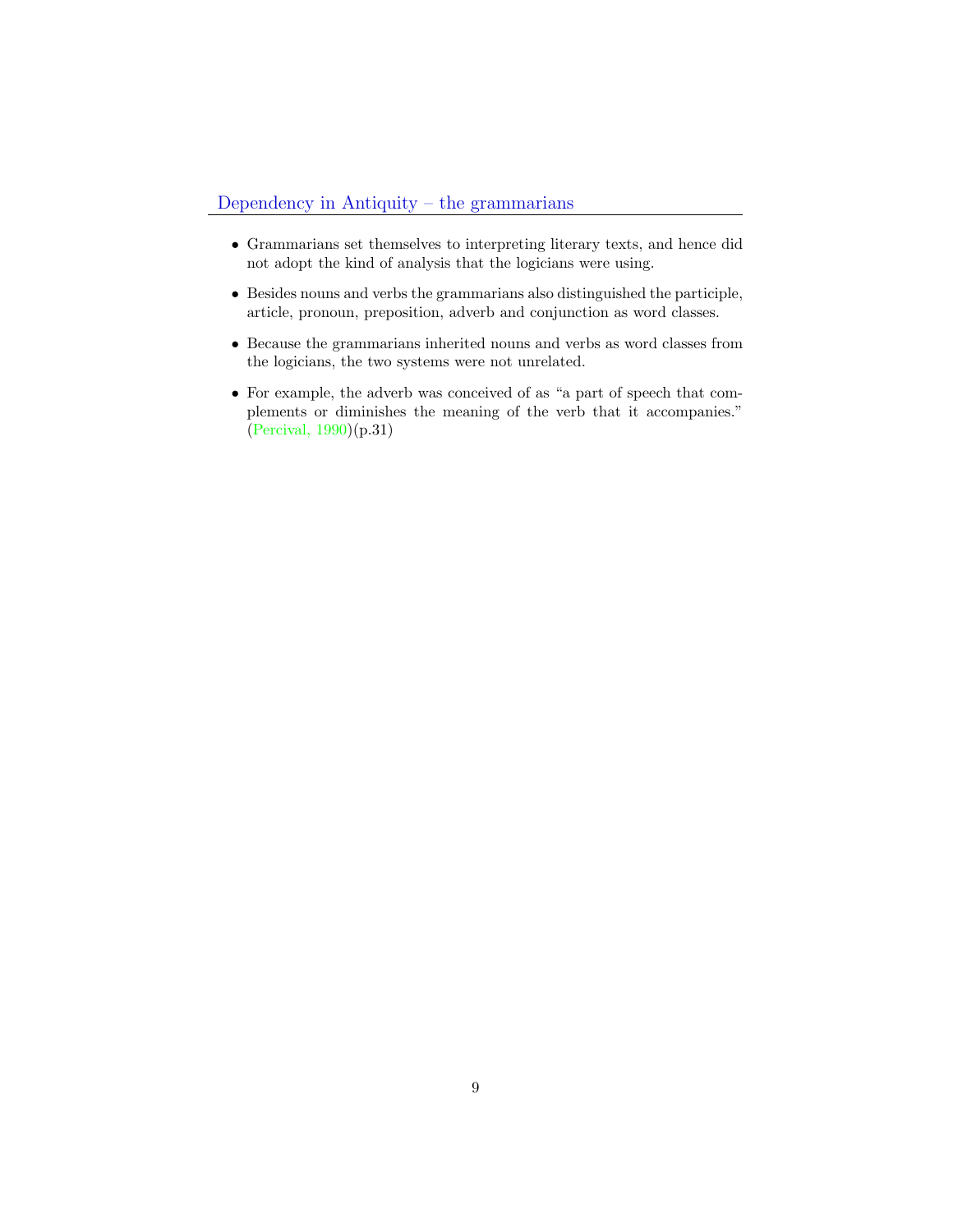### Dependency in Antiquity – the grammarians

- Grammarians set themselves to interpreting literary texts, and hence did not adopt the kind of analysis that the logicians were using.
- Besides nouns and verbs the grammarians also distinguished the participle, article, pronoun, preposition, adverb and conjunction as word classes.
- Because the grammarians inherited nouns and verbs as word classes from the logicians, the two systems were not unrelated.
- For example, the adverb was conceived of as "a part of speech that complements or diminishes the meaning of the verb that it accompanies." (Percival, 1990)(p.31)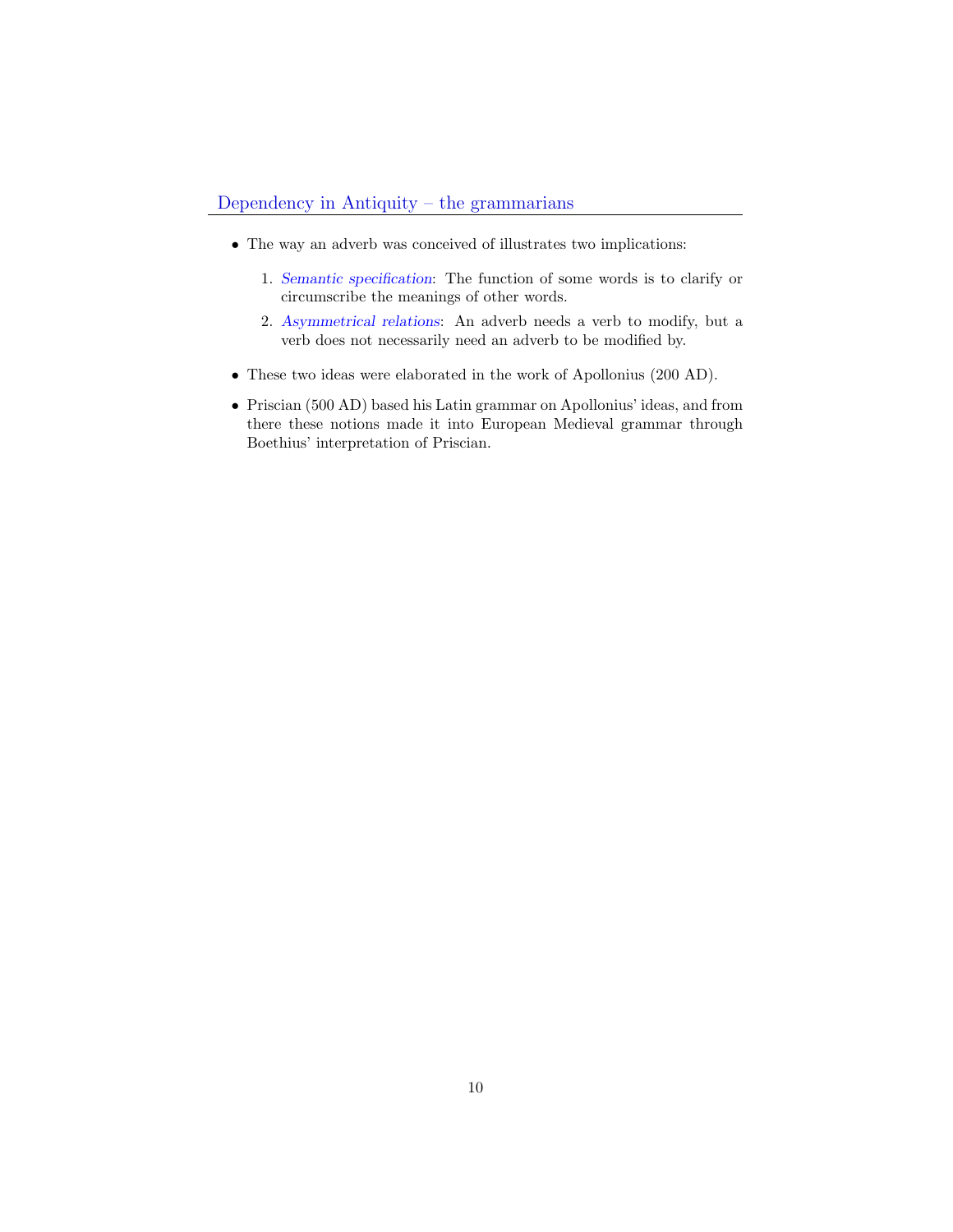- The way an adverb was conceived of illustrates two implications:
	- 1. Semantic specification: The function of some words is to clarify or circumscribe the meanings of other words.
	- 2. Asymmetrical relations: An adverb needs a verb to modify, but a verb does not necessarily need an adverb to be modified by.
- <span id="page-9-0"></span>• These two ideas were elaborated in the work of Apollonius (200 AD).
- Priscian (500 AD) based his Latin grammar on Apollonius' ideas, and from there these notions made it into European Medieval grammar through Boethius' interpretation of Priscian.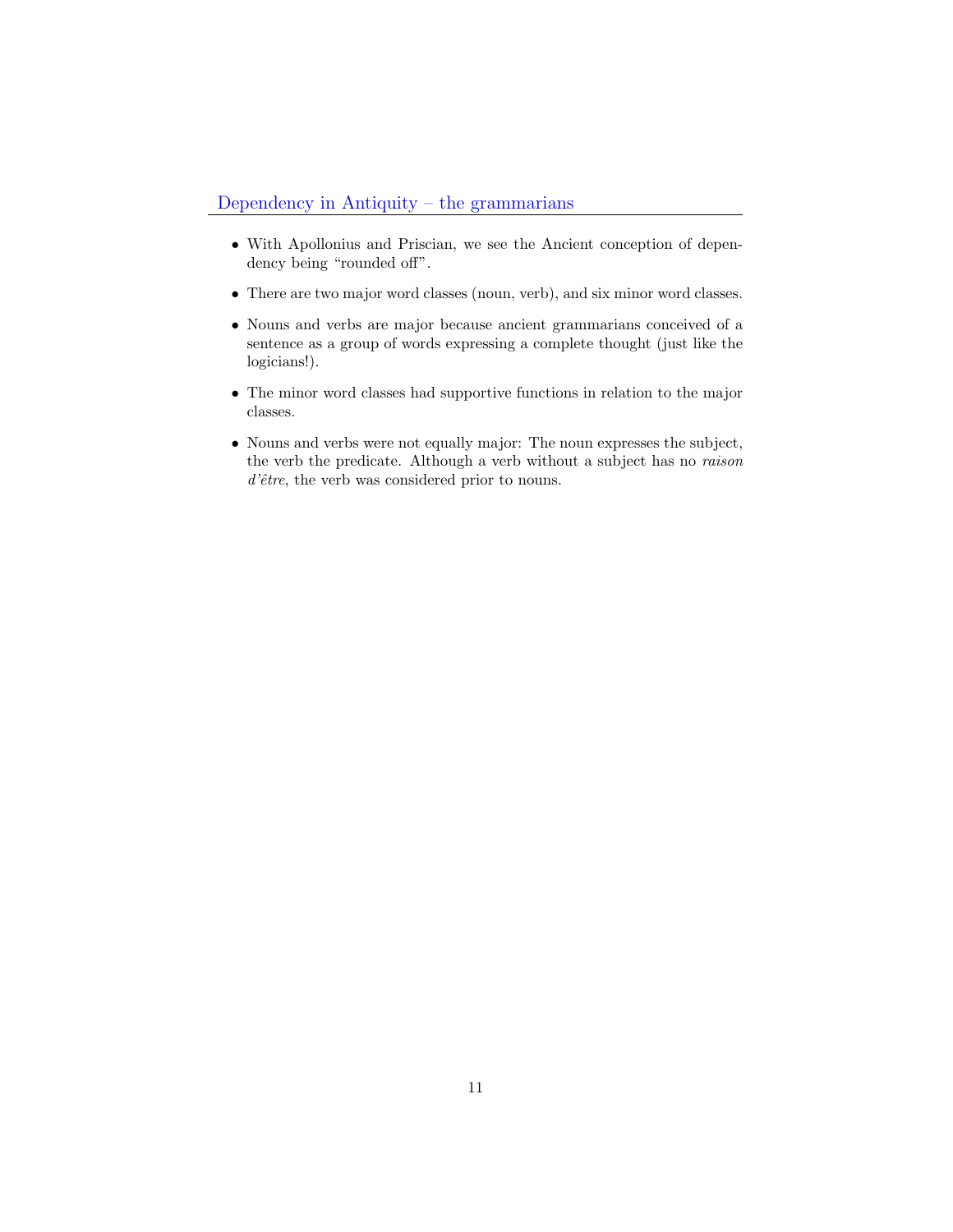- With Apollonius and Priscian, we see the Ancient conception of dependency being "rounded off".
- There are two major word classes (noun, verb), and six minor word classes.
- Nouns and verbs are major because ancient grammarians conceived of a sentence as a group of words expressing a complete thought (just like the logicians!).
- The minor word classes had supportive functions in relation to the major classes.
- Nouns and verbs were not equally major: The noun expresses the subject, the verb the predicate. Although a verb without a subject has no raison  $d\text{'\`etre}$ , the verb was considered prior to nouns.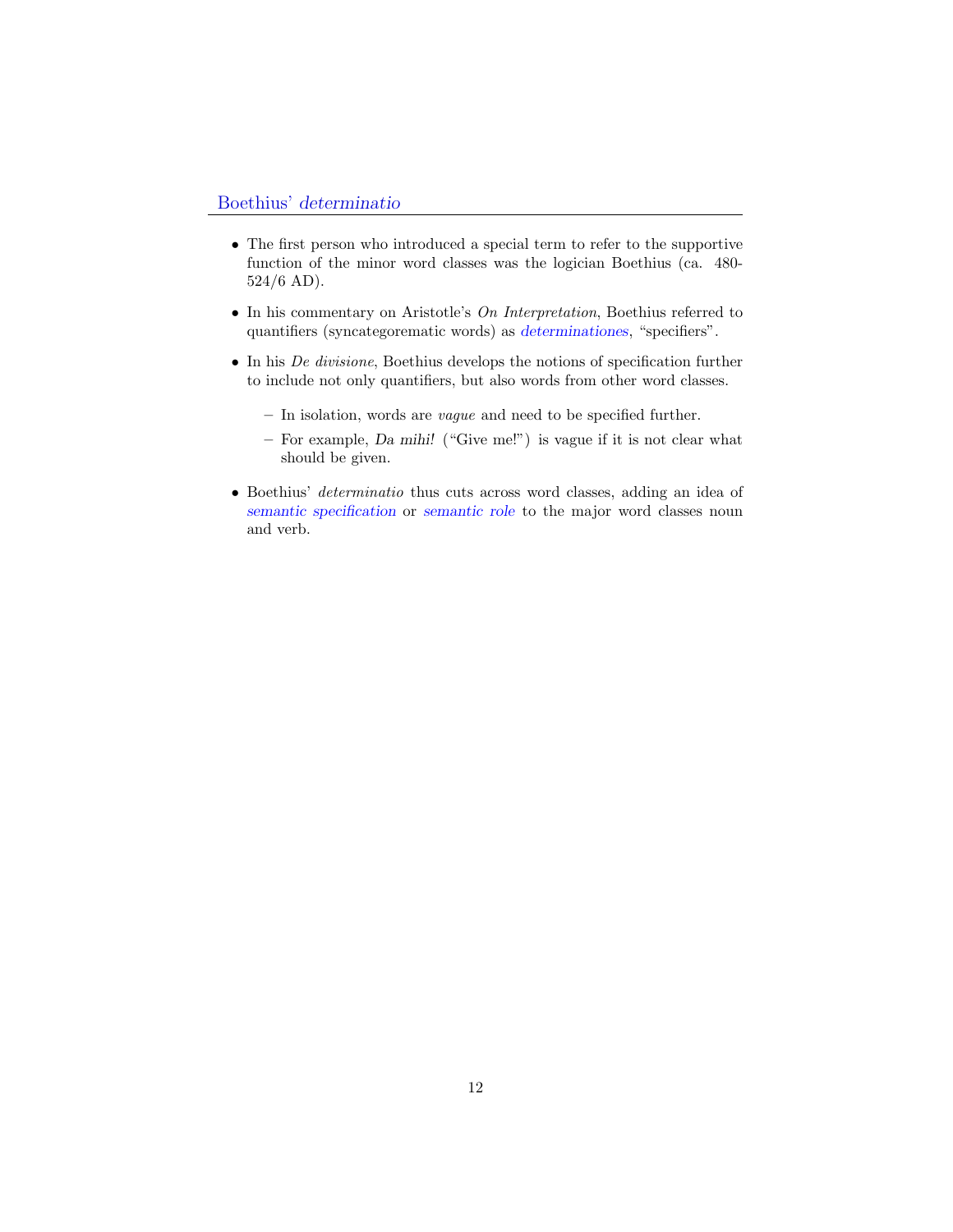- The first person who introduced a special term to refer to the supportive function of the minor word classes was the logician Boethius (ca. 480- 524/6 AD).
- In his commentary on Aristotle's On Interpretation, Boethius referred to quantifiers (syncategorematic words) as determinationes, "specifiers".
- In his De divisione, Boethius develops the notions of specification further to include not only quantifiers, but also words from other word classes.
	- In isolation, words are vague and need to be specified further.
	- For example, Da mihi! ("Give me!") is vague if it is not clear what should be given.
- Boethius' determinatio thus cuts across word classes, adding an idea of semantic specification or semantic role to the major word classes noun and verb.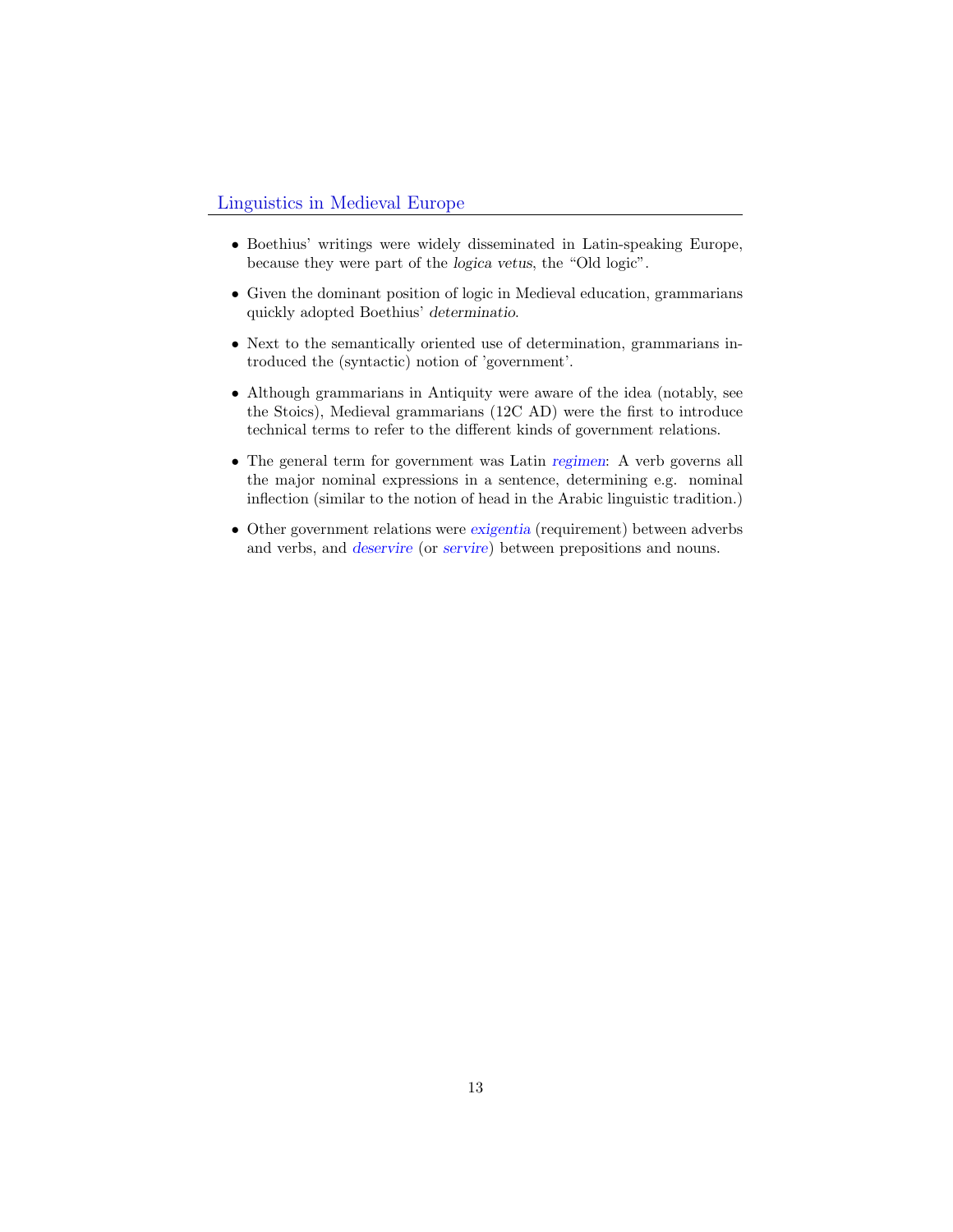### Linguistics in Medieval Europe

- Boethius' writings were widely disseminated in Latin-speaking Europe, because they were part of the logica vetus, the "Old logic".
- Given the dominant position of logic in Medieval education, grammarians quickly adopted Boethius' determinatio.
- Next to the semantically oriented use of determination, grammarians introduced the (syntactic) notion of 'government'.
- Although grammarians in Antiquity were aware of the idea (notably, see the Stoics), Medieval grammarians (12C AD) were the first to introduce technical terms to refer to the different kinds of government relations.
- The general term for government was Latin regimen: A verb governs all the major nominal expressions in a sentence, determining e.g. nominal inflection (similar to the notion of head in the Arabic linguistic tradition.)
- Other government relations were exigentia (requirement) between adverbs and verbs, and deservire (or servire) between prepositions and nouns.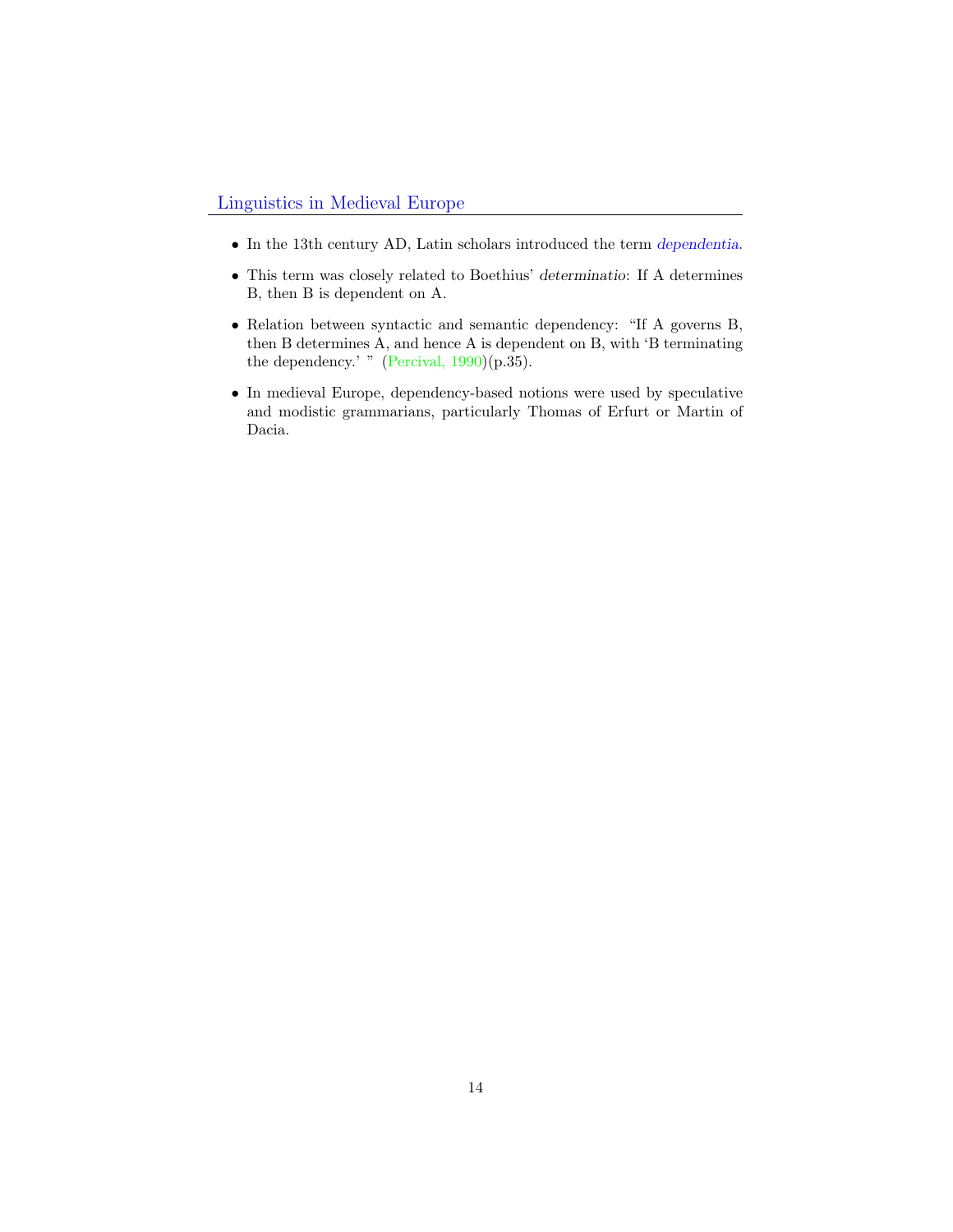- $\bullet\,$  In the 13th century AD, Latin scholars introduced the term dependentia.
- This term was closely related to Boethius' determinatio: If A determines B, then B is dependent on A.
- Relation between syntactic and semantic dependency: "If A governs B, then B determines A, and hence A is dependent on B, with 'B terminating the dependency.' " (Percival,  $1990$ )(p.35).
- In medieval Europe, dependency-based notions were used by speculative and modistic grammarians, particularly Thomas of Erfurt or Martin of Dacia.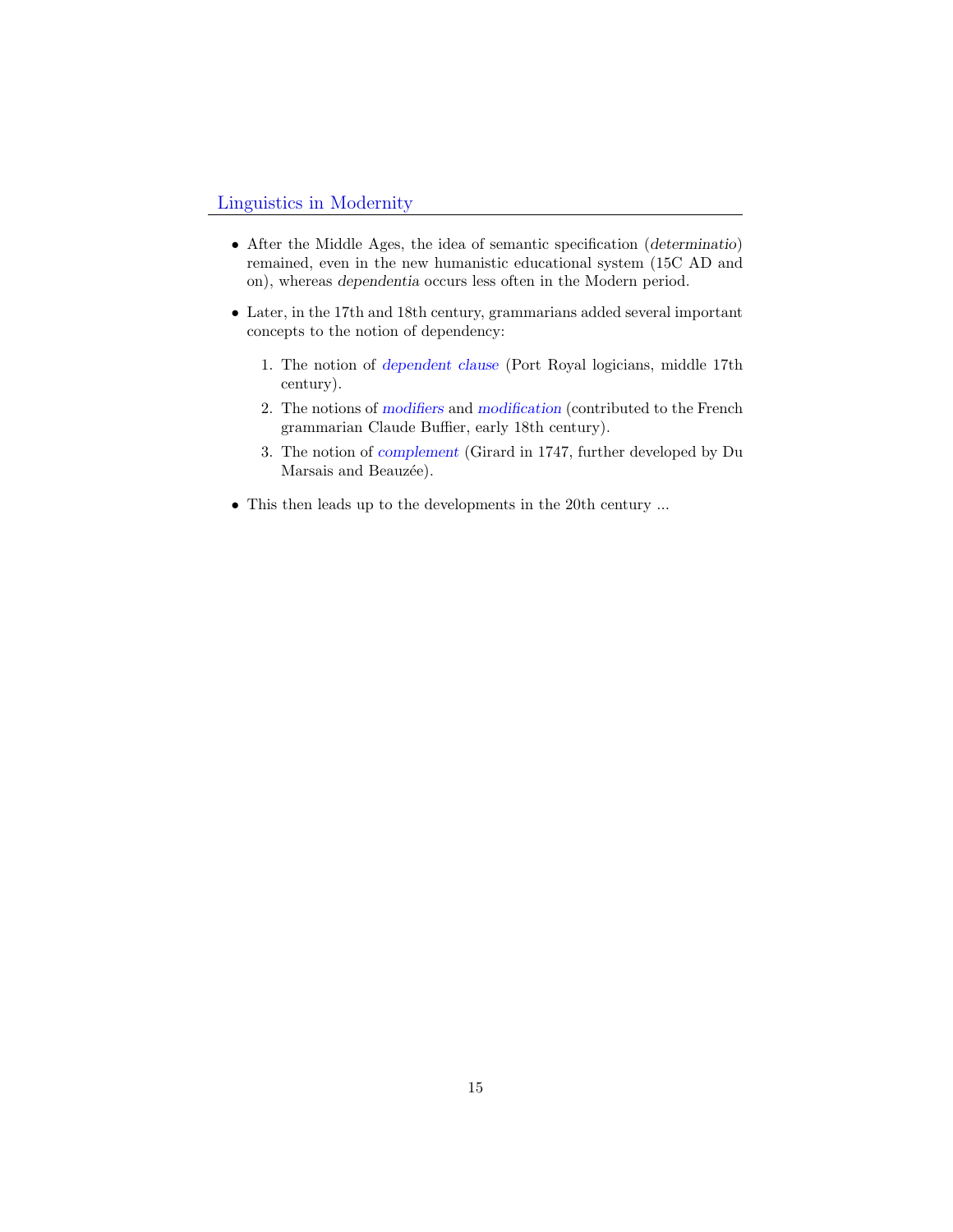#### Linguistics in Modernity

- After the Middle Ages, the idea of semantic specification (determinatio) remained, even in the new humanistic educational system (15C AD and on), whereas dependentia occurs less often in the Modern period.
- Later, in the 17th and 18th century, grammarians added several important concepts to the notion of dependency:
	- 1. The notion of dependent clause (Port Royal logicians, middle 17th century).
	- 2. The notions of modifiers and modification (contributed to the French grammarian Claude Buffier, early 18th century).
	- 3. The notion of complement (Girard in 1747, further developed by Du Marsais and Beauzée).
- <span id="page-14-0"></span>• This then leads up to the developments in the 20th century ...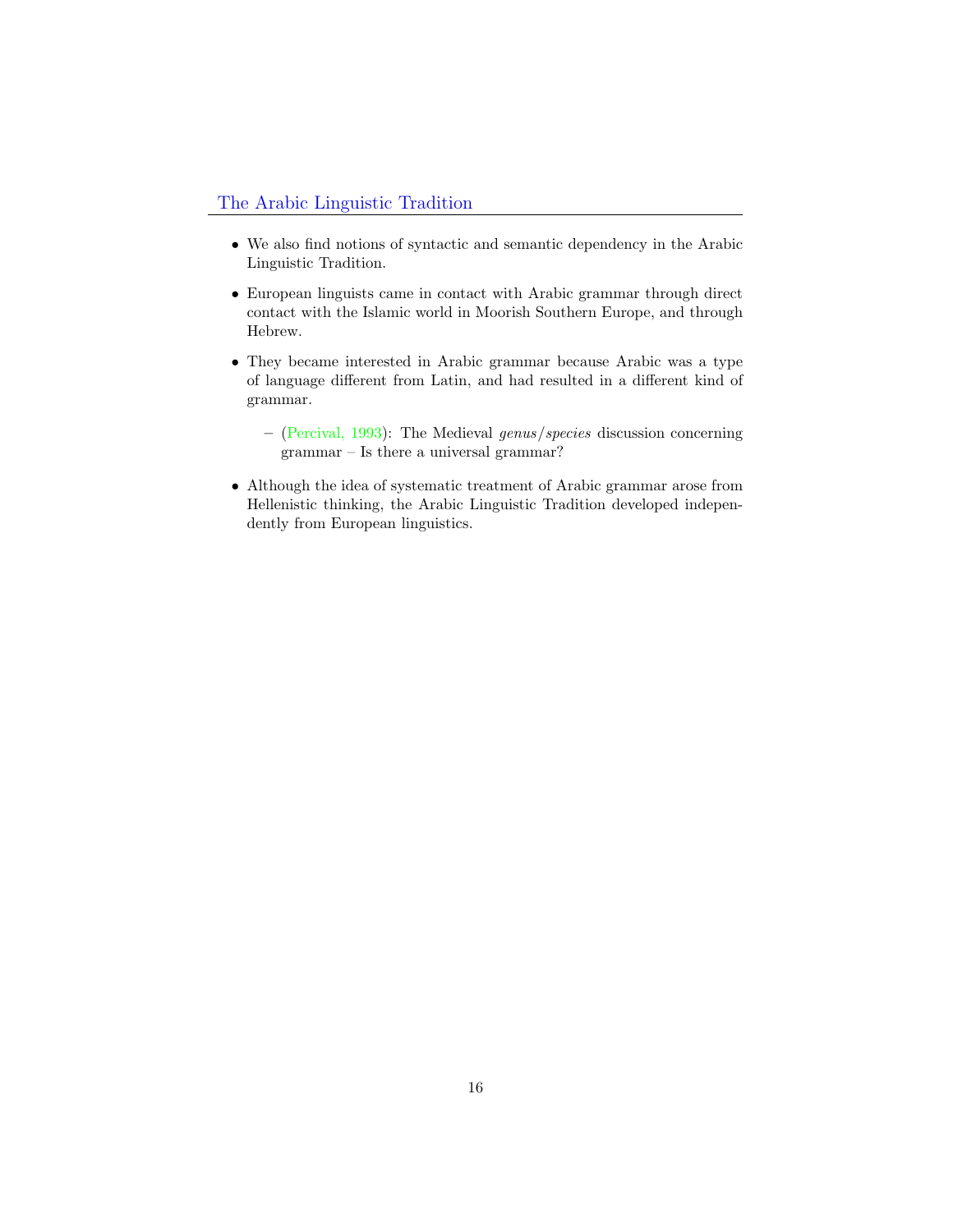- We also find notions of syntactic and semantic dependency in the Arabic Linguistic Tradition.
- European linguists came in contact with Arabic grammar through direct contact with the Islamic world in Moorish Southern Europe, and through Hebrew.
- They became interested in Arabic grammar because Arabic was a type of language different from Latin, and had resulted in a different kind of grammar.
	- (Percival, 1993): The Medieval genus/species discussion concerning grammar – Is there a universal grammar?
- Although the idea of systematic treatment of Arabic grammar arose from Hellenistic thinking, the Arabic Linguistic Tradition developed independently from European linguistics.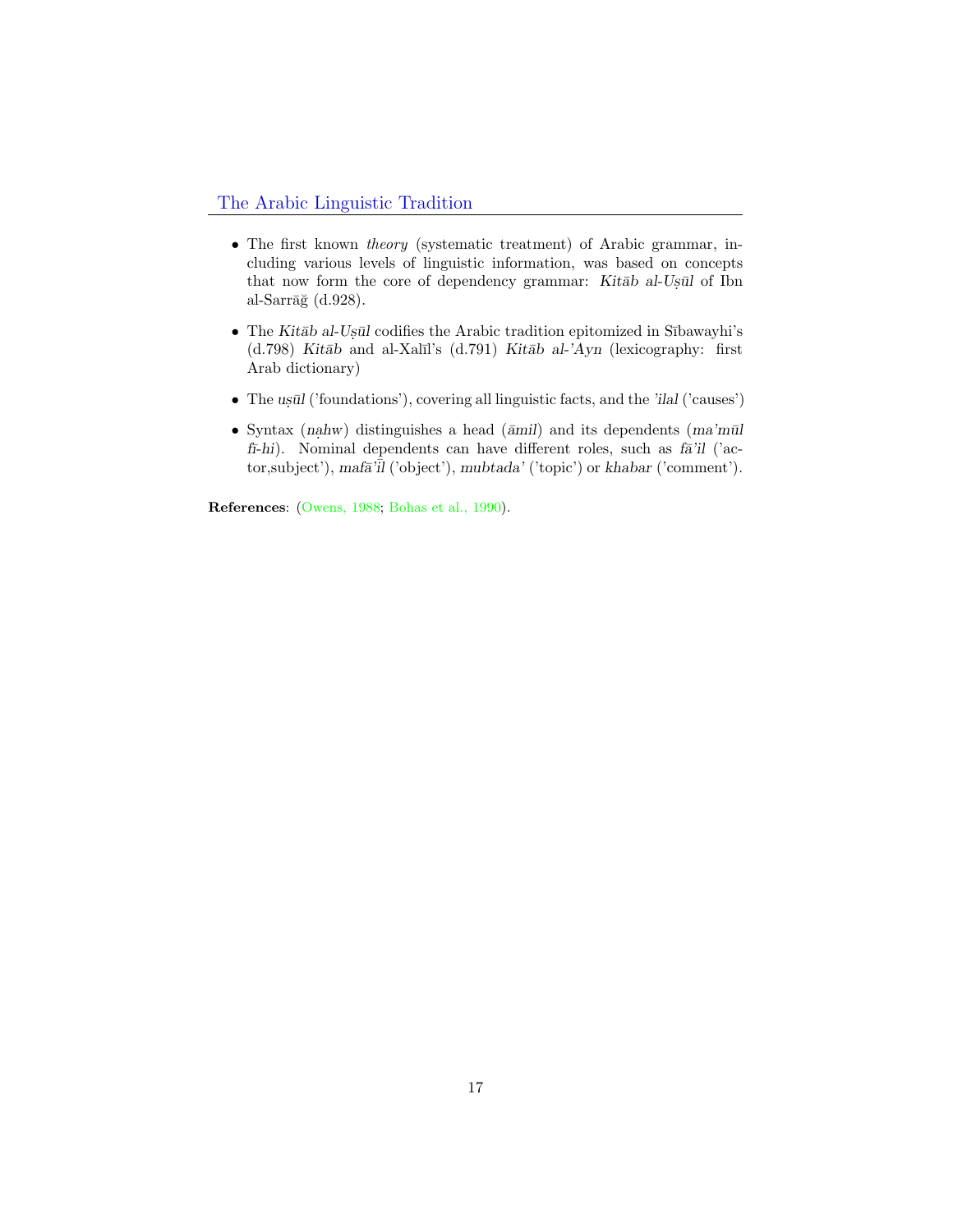#### The Arabic Linguistic Tradition

- The first known theory (systematic treatment) of Arabic grammar, including various levels of linguistic information, was based on concepts that now form the core of dependency grammar: Kitab al-Usul of Ibn al-Sarrāğ  $(d.928)$ .
- The Kitab al-Us $\bar{u}$ l codifies the Arabic tradition epitomized in Sībawayhi's (d.798) Kitāb and al-Xalīl's (d.791) Kitāb al-'Ayn (lexicography: first Arab dictionary)
- $\bullet~$  The ustil ('foundations'), covering all linguistic facts, and the 'ilal ('causes')
- Syntax (nahw) distinguishes a head ( $\bar{a}$ mil) and its dependents (ma'mūl fi-hi). Nominal dependents can have different roles, such as  $f\bar{a}$ 'il ('actor, subject'), maf $\bar{a}^{\prime}$ il ('object'), mubtada' ('topic') or khabar ('comment').

References: (Owens, 1988; Bohas et al., 1990).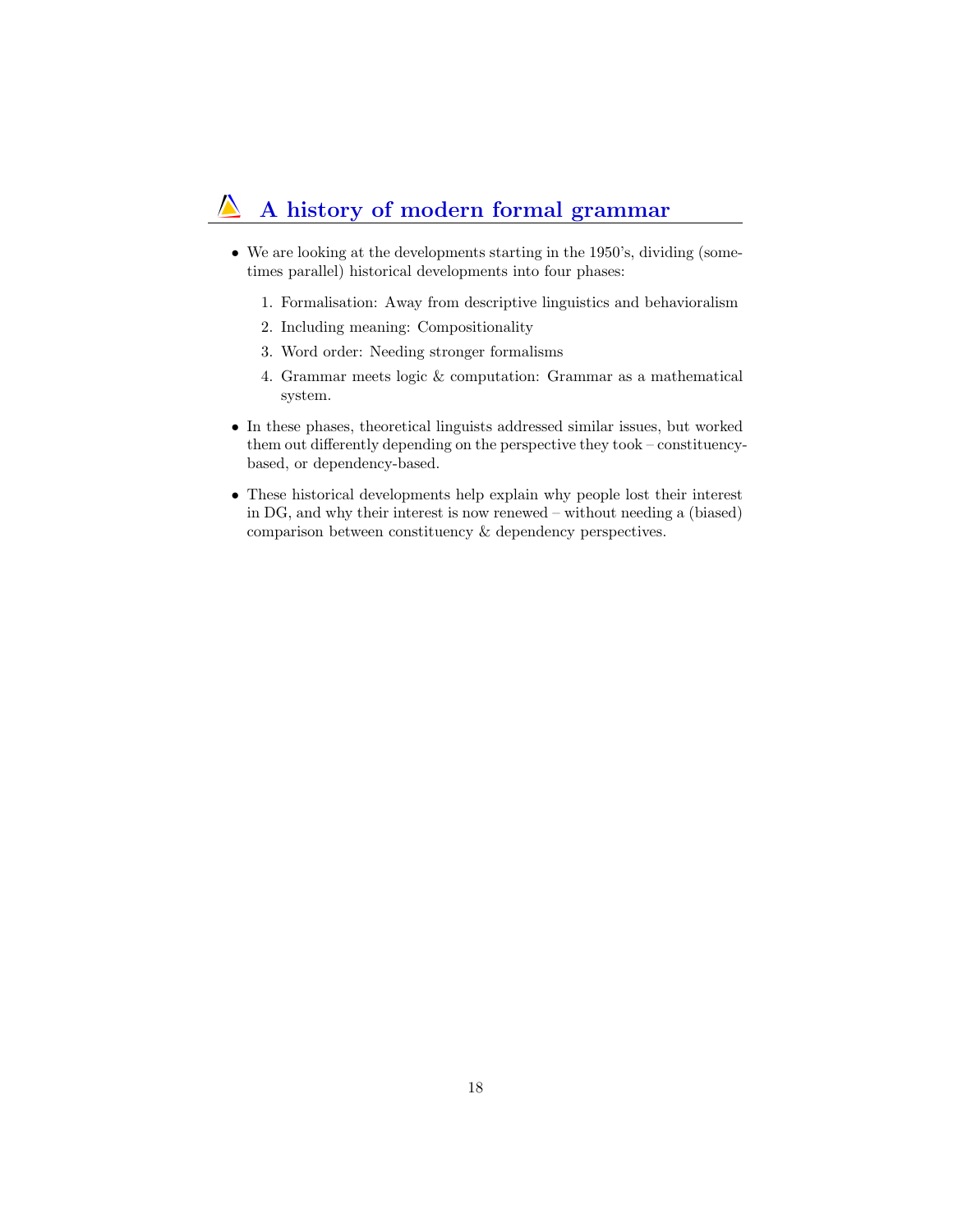#### A history of modern formal grammar  $\sqrt{ }$

- We are looking at the developments starting in the 1950's, dividing (sometimes parallel) historical developments into four phases:
	- 1. Formalisation: Away from descriptive linguistics and behavioralism
	- 2. Including meaning: Compositionality
	- 3. Word order: Needing stronger formalisms
	- 4. Grammar meets logic & computation: Grammar as a mathematical system.
- <span id="page-17-0"></span>• In these phases, theoretical linguists addressed similar issues, but worked them out differently depending on the perspective they took – constituencybased, or dependency-based.
- These historical developments help explain why people lost their interest in DG, and why their interest is now renewed – without needing a (biased) comparison between constituency & dependency perspectives.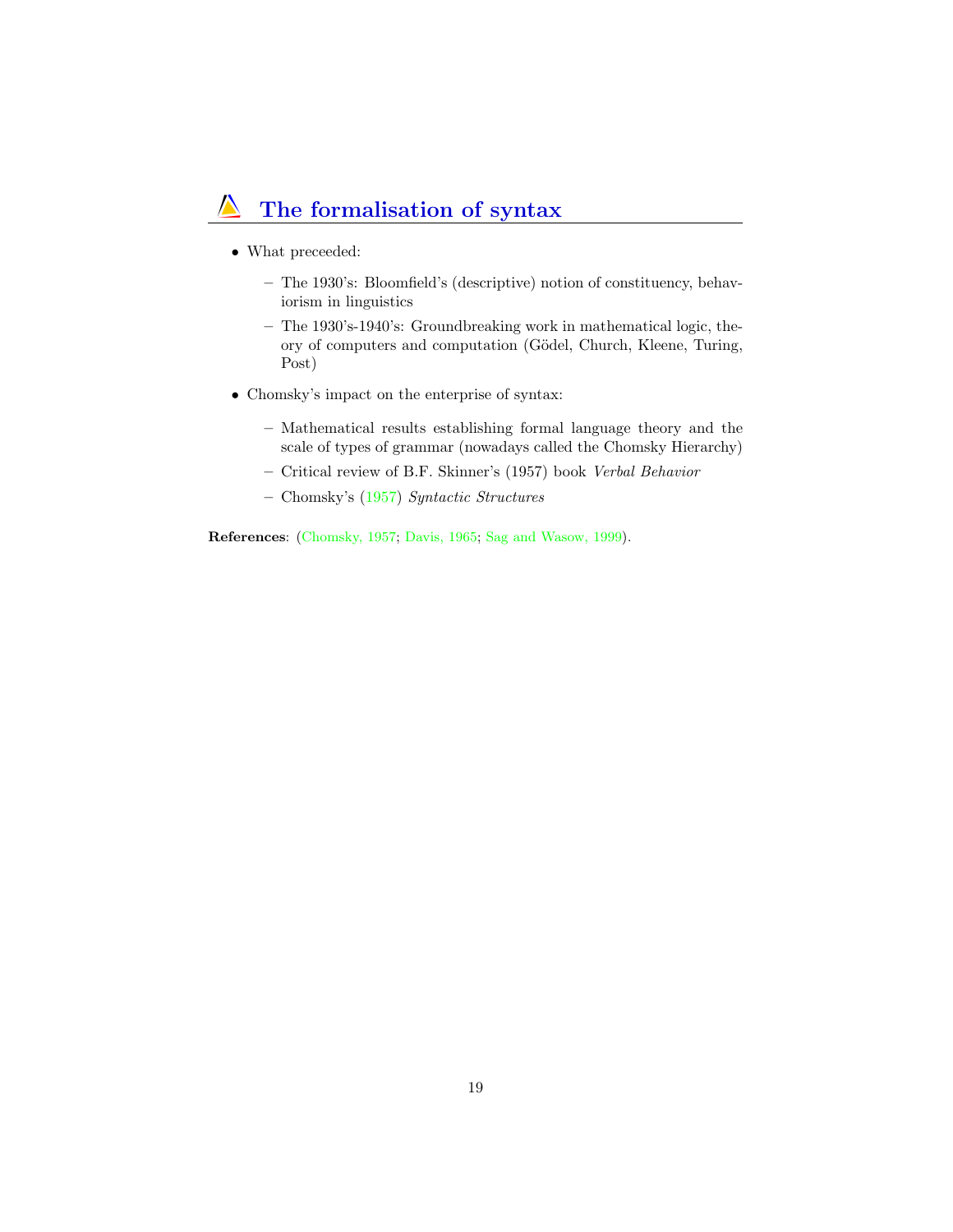## The formalisation of syntax

- What preceeded:
	- The 1930's: Bloomfield's (descriptive) notion of constituency, behaviorism in linguistics
	- The 1930's-1940's: Groundbreaking work in mathematical logic, theory of computers and computation (Gödel, Church, Kleene, Turing, Post)
- Chomsky's impact on the enterprise of syntax:
	- Mathematical results establishing formal language theory and the scale of types of grammar (nowadays called the Chomsky Hierarchy)
	- Critical review of B.F. Skinner's (1957) book Verbal Behavior
	- Chomsky's (1957) Syntactic Structures

References: (Chomsky, 1957; Davis, 1965; Sag and Wasow, 1999).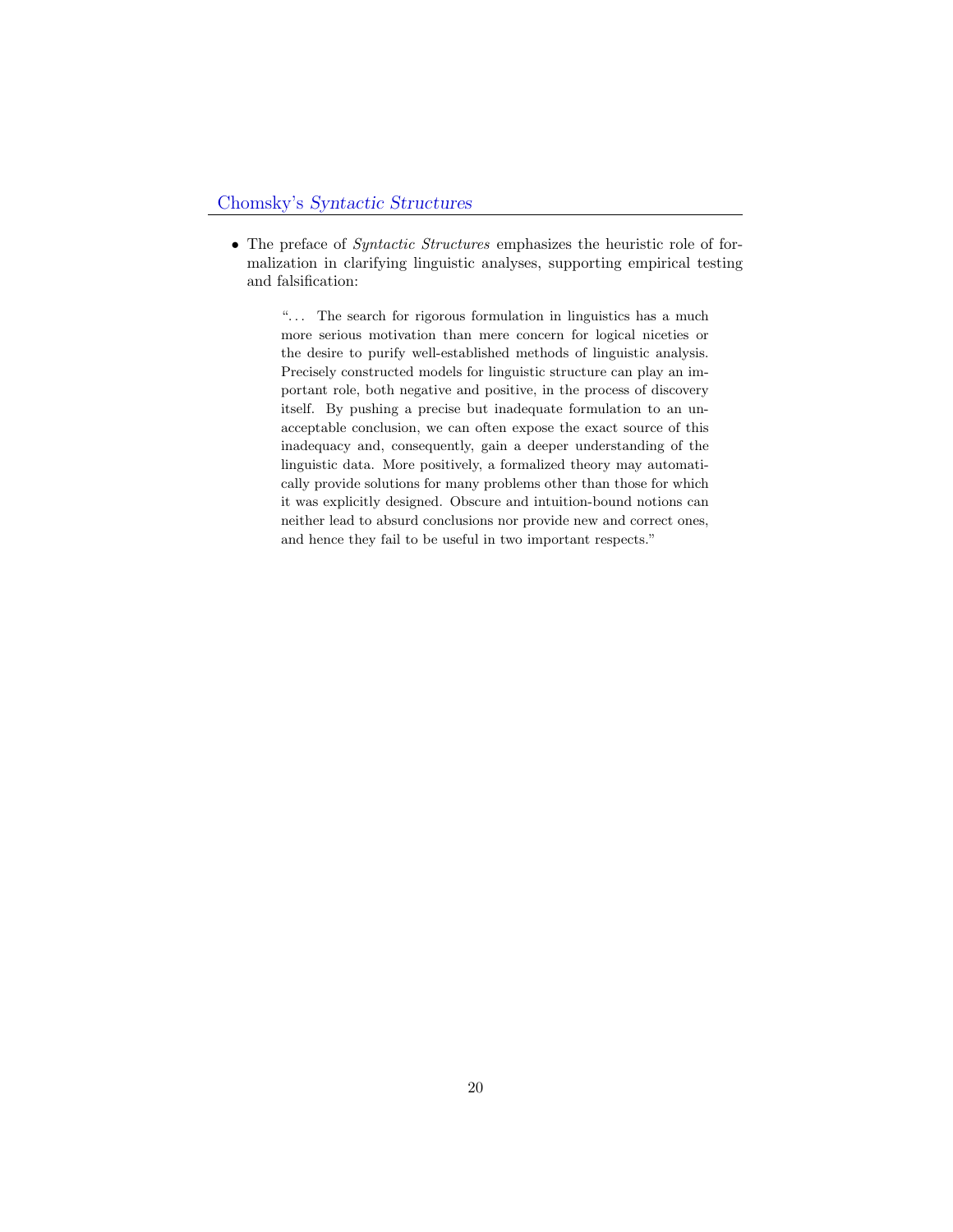#### Chomsky's Syntactic Structures

• The preface of *Syntactic Structures* emphasizes the heuristic role of formalization in clarifying linguistic analyses, supporting empirical testing and falsification:

<span id="page-19-0"></span>"... The search for rigorous formulation in linguistics has a much more serious motivation than mere concern for logical niceties or the desire to purify well-established methods of linguistic analysis. Precisely constructed models for linguistic structure can play an important role, both negative and positive, in the process of discovery itself. By pushing a precise but inadequate formulation to an unacceptable conclusion, we can often expose the exact source of this inadequacy and, consequently, gain a deeper understanding of the linguistic data. More positively, a formalized theory may automatically provide solutions for many problems other than those for which it was explicitly designed. Obscure and intuition-bound notions can neither lead to absurd conclusions nor provide new and correct ones, and hence they fail to be useful in two important respects."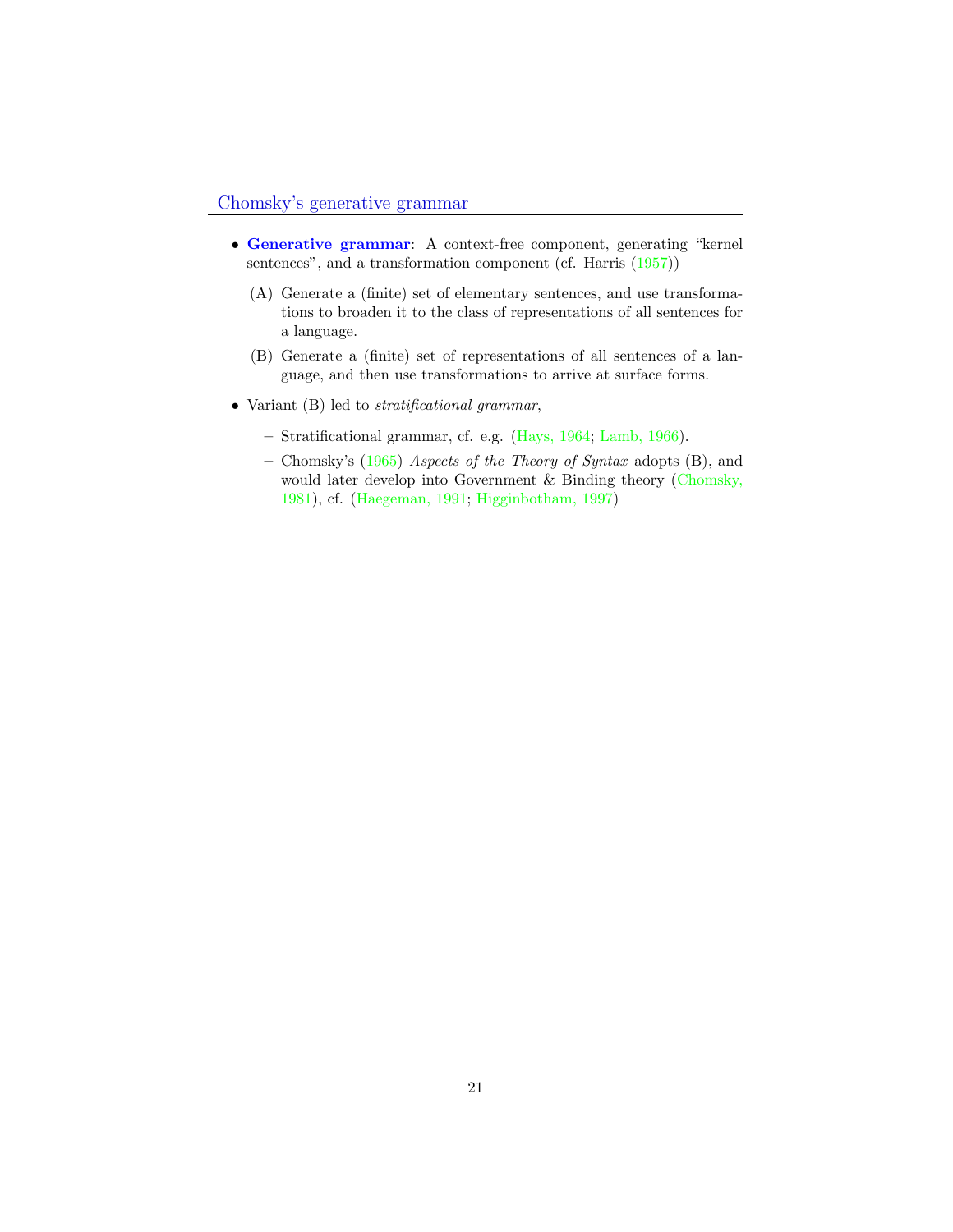- Generative grammar: A context-free component, generating "kernel sentences", and a transformation component (cf. Harris  $(1957)$ )
	- (A) Generate a (finite) set of elementary sentences, and use transformations to broaden it to the class of representations of all sentences for a language.
	- (B) Generate a (finite) set of representations of all sentences of a language, and then use transformations to arrive at surface forms.
- Variant (B) led to *stratificational grammar*,
	- Stratificational grammar, cf. e.g. (Hays, 1964; Lamb, 1966).
	- Chomsky's (1965) Aspects of the Theory of Syntax adopts (B), and would later develop into Government & Binding theory (Chomsky, 1981), cf. (Haegeman, 1991; Higginbotham, 1997)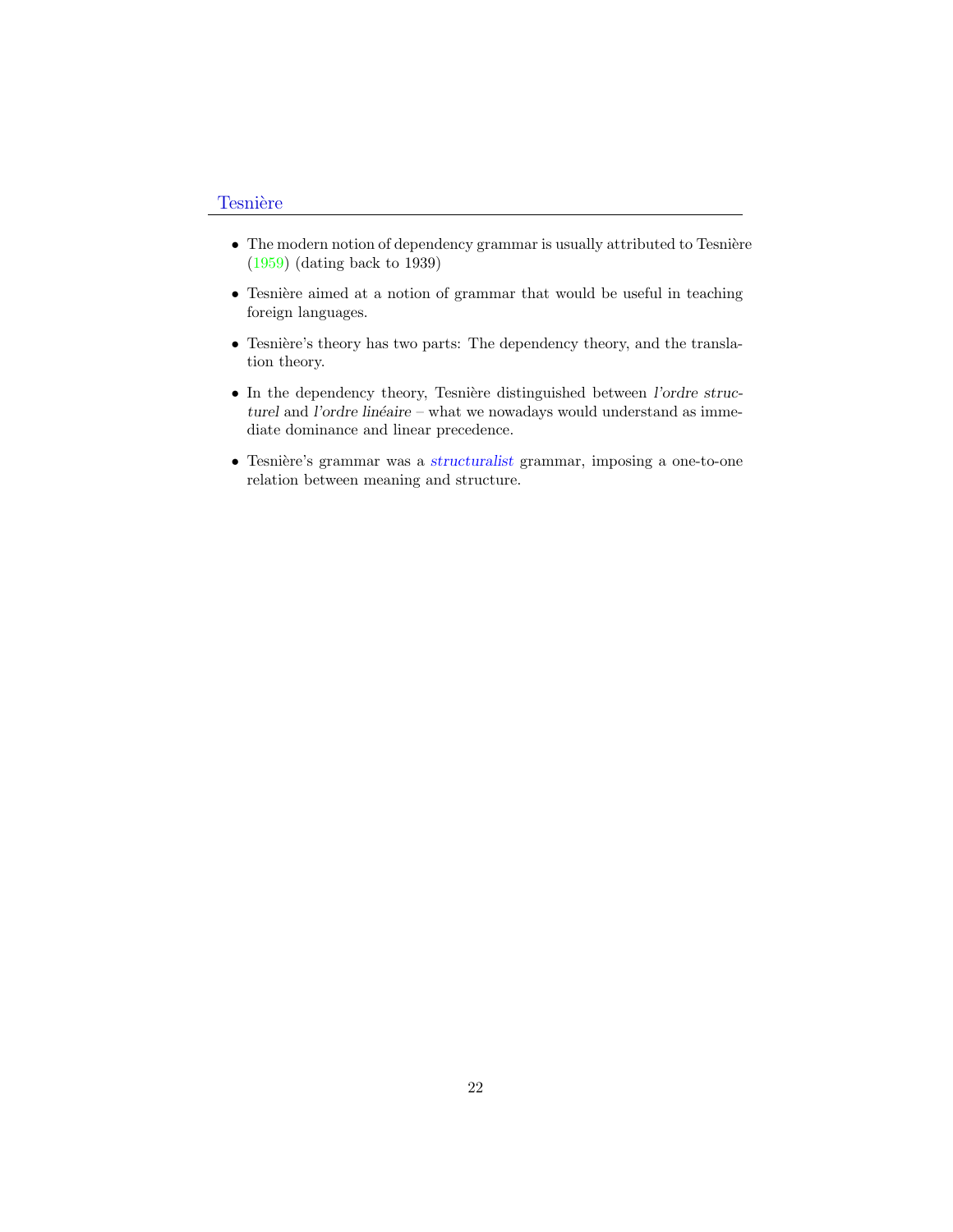#### **Tesnière**

- $\bullet$  The modern notion of dependency grammar is usually attributed to Tesnière (1959) (dating back to 1939)
- Tesnière aimed at a notion of grammar that would be useful in teaching foreign languages.
- Tesnière's theory has two parts: The dependency theory, and the translation theory.
- $\bullet$  In the dependency theory, Tesnière distinguished between l'ordre structurel and l'ordre linéaire – what we nowadays would understand as immediate dominance and linear precedence.
- $\bullet$  Tesnière's grammar was a structuralist grammar, imposing a one-to-one relation between meaning and structure.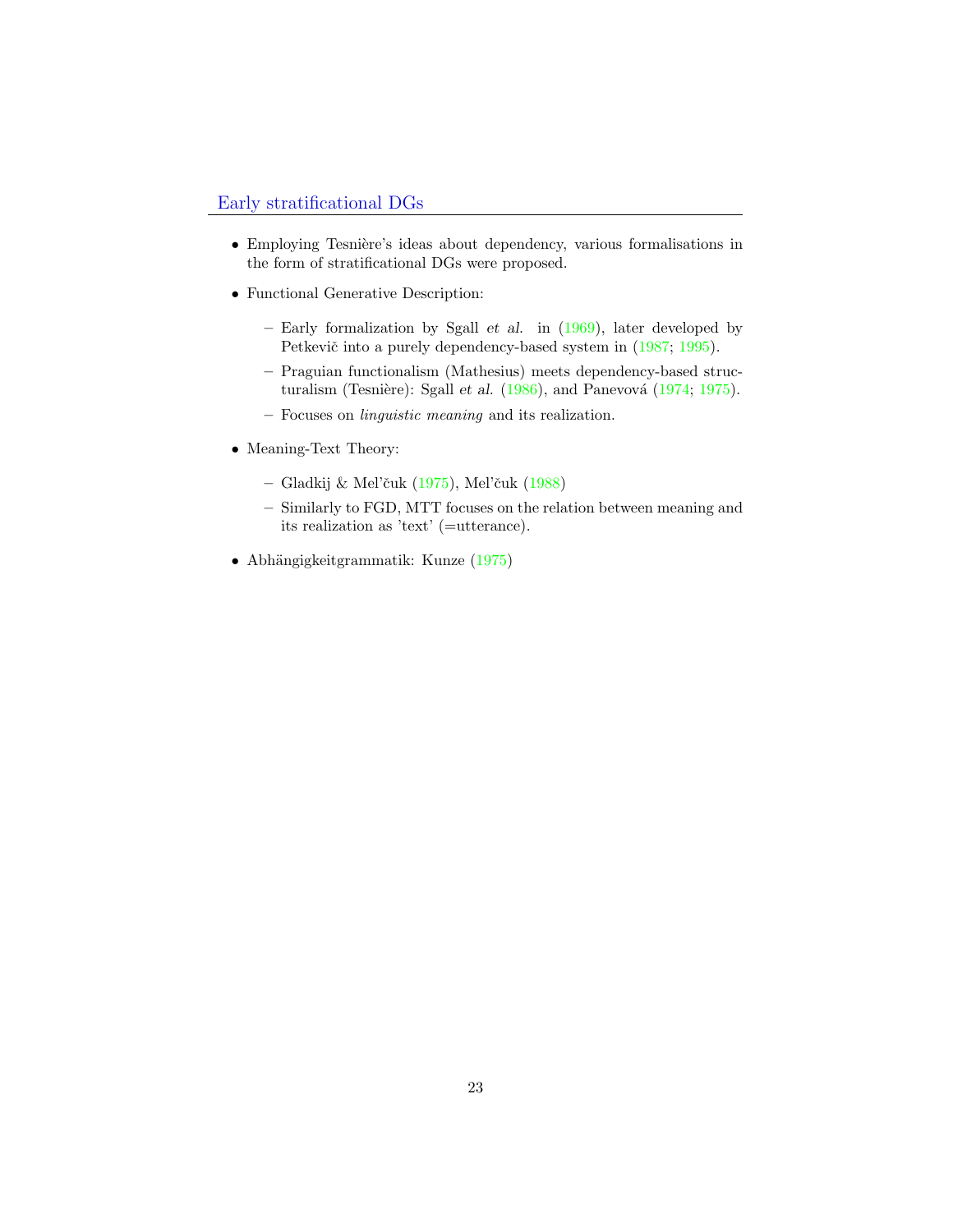#### Early stratificational DGs

- Employing Tesnière's ideas about dependency, various formalisations in the form of stratificational DGs were proposed.
- Functional Generative Description:
	- Early formalization by Sgall *et al.* in  $(1969)$ , later developed by Petkevič into a purely dependency-based system in  $(1987; 1995)$ .
	- Praguian functionalism (Mathesius) meets dependency-based structuralism (Tesnière): Sgall et al.  $(1986)$ , and Panevová  $(1974; 1975)$ .
	- Focuses on linguistic meaning and its realization.
- Meaning-Text Theory:
	- Gladkij  $\&$  Mel'čuk (1975), Mel'čuk (1988)
	- Similarly to FGD, MTT focuses on the relation between meaning and its realization as 'text' (=utterance).
- Abhängigkeitgrammatik: Kunze (1975)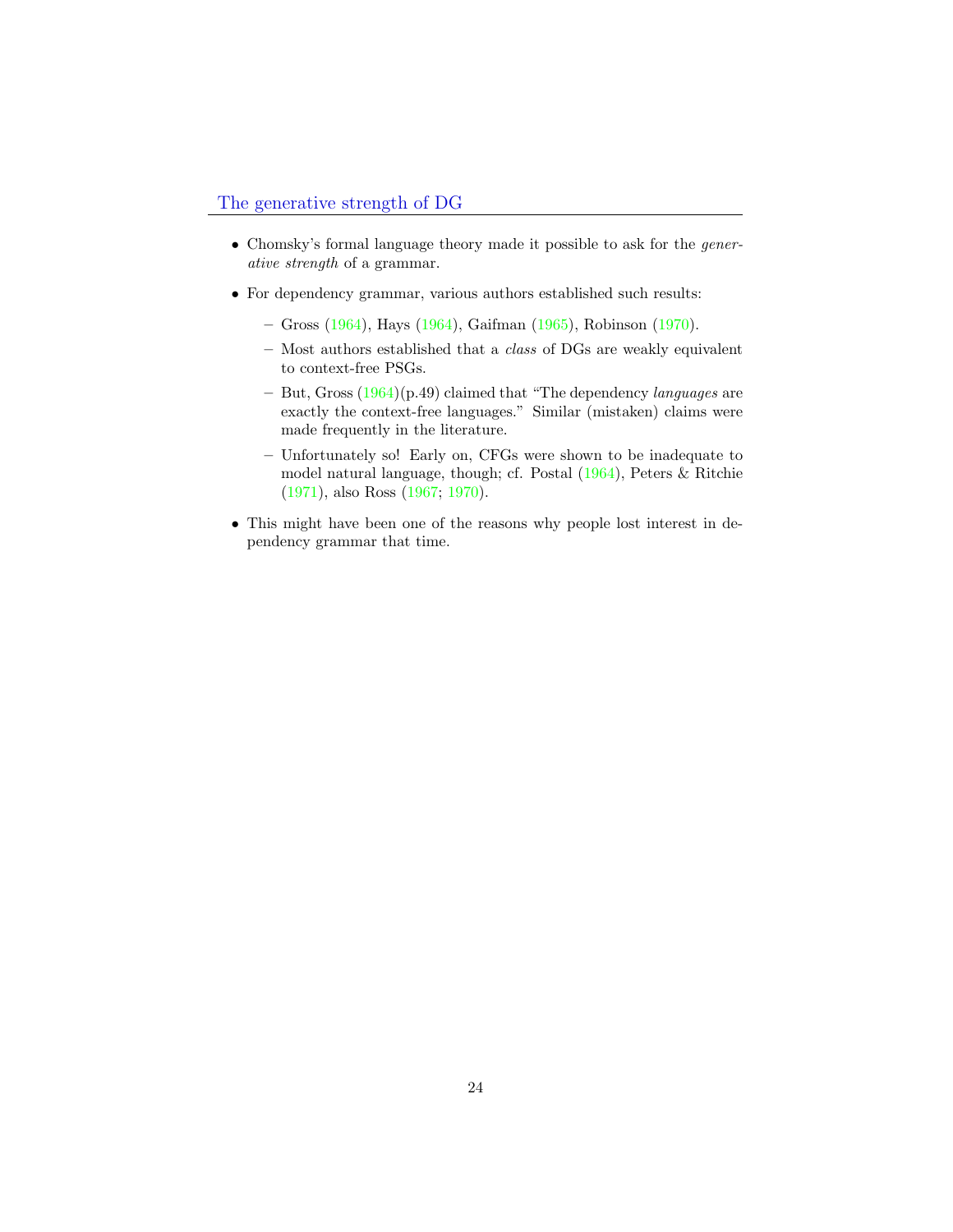- Chomsky's formal language theory made it possible to ask for the generative strength of a grammar.
- For dependency grammar, various authors established such results:
	- Gross (1964), Hays (1964), Gaifman (1965), Robinson (1970).
	- Most authors established that a class of DGs are weakly equivalent to context-free PSGs.
	- But, Gross  $(1964)(p.49)$  claimed that "The dependency *languages* are exactly the context-free languages." Similar (mistaken) claims were made frequently in the literature.
	- Unfortunately so! Early on, CFGs were shown to be inadequate to model natural language, though; cf. Postal (1964), Peters & Ritchie (1971), also Ross (1967; 1970).
- This might have been one of the reasons why people lost interest in dependency grammar that time.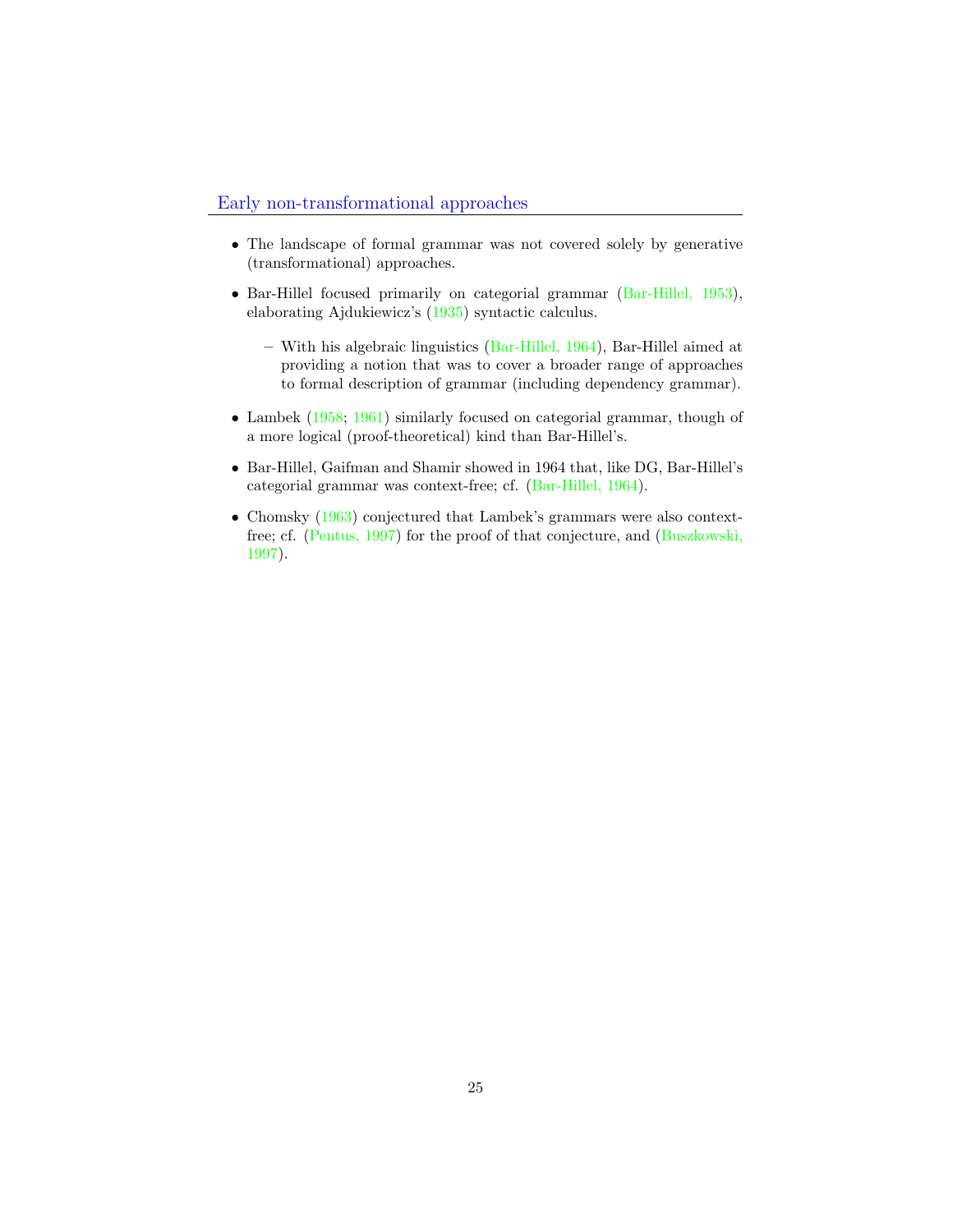- The landscape of formal grammar was not covered solely by generative (transformational) approaches.
- Bar-Hillel focused primarily on categorial grammar (Bar-Hillel, 1953), elaborating Ajdukiewicz's (1935) syntactic calculus.
	- With his algebraic linguistics (Bar-Hillel, 1964), Bar-Hillel aimed at providing a notion that was to cover a broader range of approaches to formal description of grammar (including dependency grammar).
- Lambek (1958; 1961) similarly focused on categorial grammar, though of a more logical (proof-theoretical) kind than Bar-Hillel's.
- Bar-Hillel, Gaifman and Shamir showed in 1964 that, like DG, Bar-Hillel's categorial grammar was context-free; cf. (Bar-Hillel, 1964).
- Chomsky (1963) conjectured that Lambek's grammars were also contextfree; cf. (Pentus, 1997) for the proof of that conjecture, and (Buszkowski, 1997).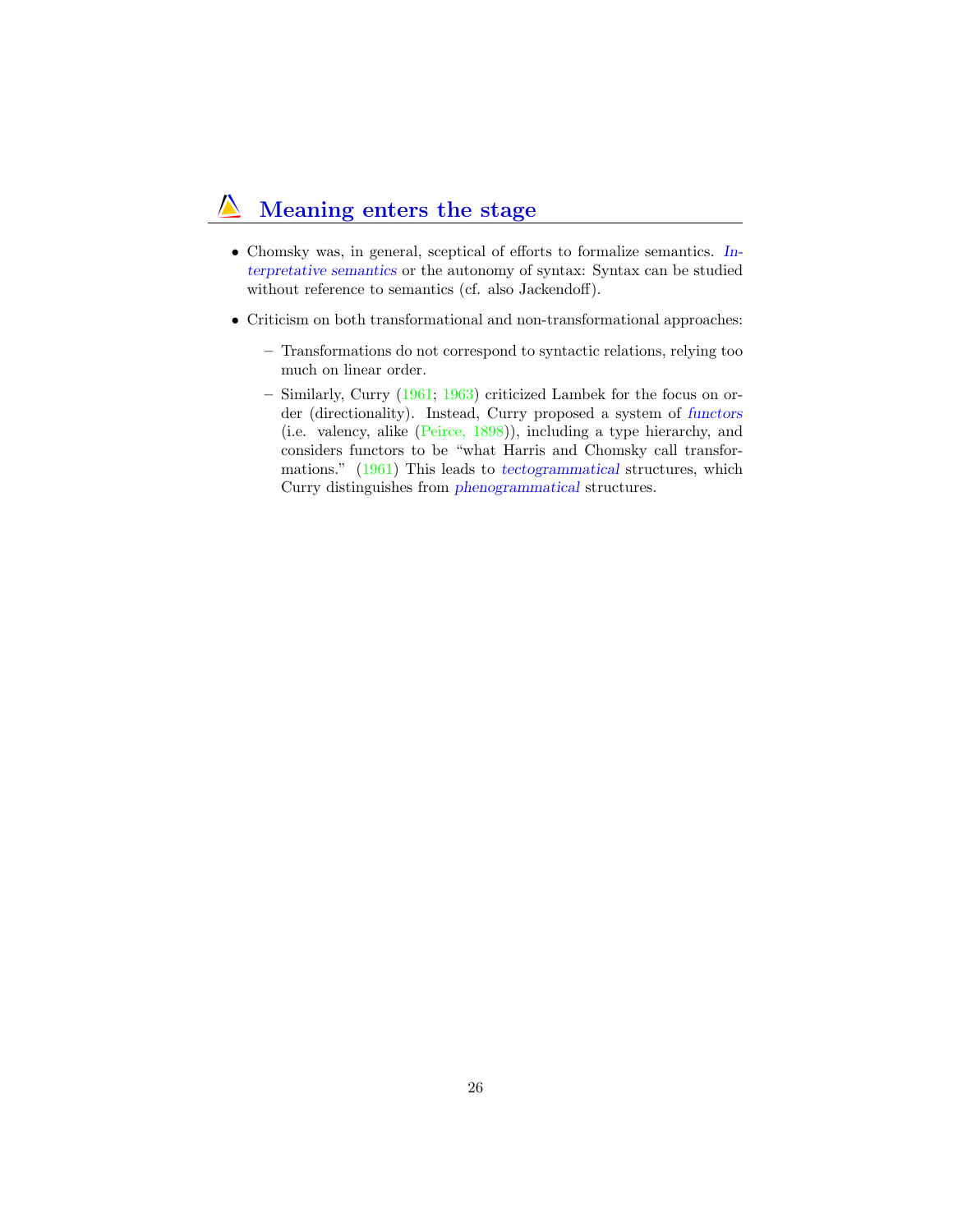#### Meaning enters the stage  $\sqrt{ }$

- Chomsky was, in general, sceptical of efforts to formalize semantics. Interpretative semantics or the autonomy of syntax: Syntax can be studied without reference to semantics (cf. also Jackendoff).
- Criticism on both transformational and non-transformational approaches:
	- Transformations do not correspond to syntactic relations, relying too much on linear order.
	- Similarly, Curry (1961; 1963) criticized Lambek for the focus on order (directionality). Instead, Curry proposed a system of functors (i.e. valency, alike (Peirce, 1898)), including a type hierarchy, and considers functors to be "what Harris and Chomsky call transformations." (1961) This leads to tectogrammatical structures, which Curry distinguishes from phenogrammatical structures.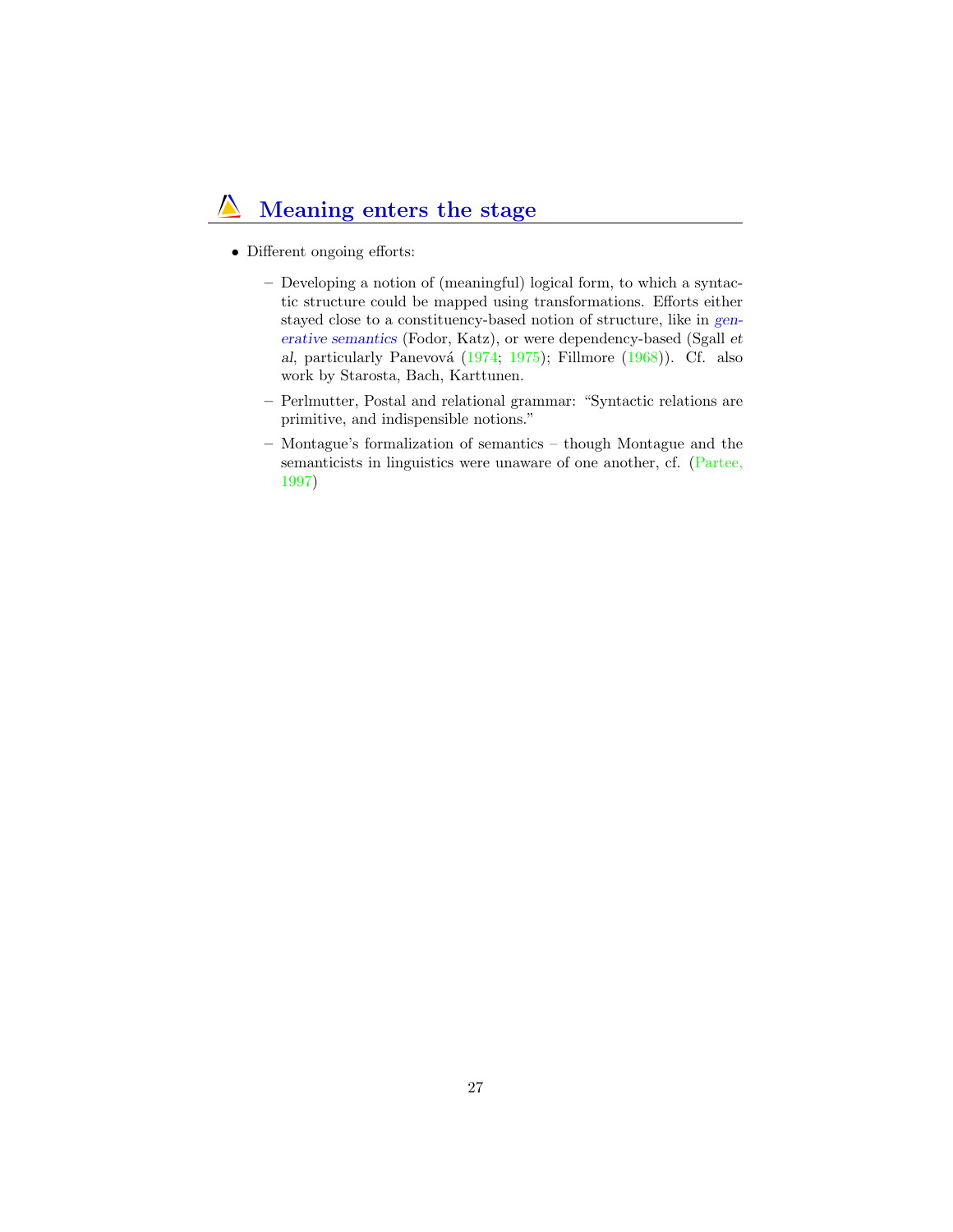## Meaning enters the stage

- Different ongoing efforts:
	- Developing a notion of (meaningful) logical form, to which a syntactic structure could be mapped using transformations. Efforts either stayed close to a constituency-based notion of structure, like in generative semantics (Fodor, Katz), or were dependency-based (Sgall et al, particularly Panevová (1974; 1975); Fillmore  $(1968)$ ). Cf. also work by Starosta, Bach, Karttunen.
	- Perlmutter, Postal and relational grammar: "Syntactic relations are primitive, and indispensible notions."
	- Montague's formalization of semantics though Montague and the semanticists in linguistics were unaware of one another, cf. (Partee, 1997)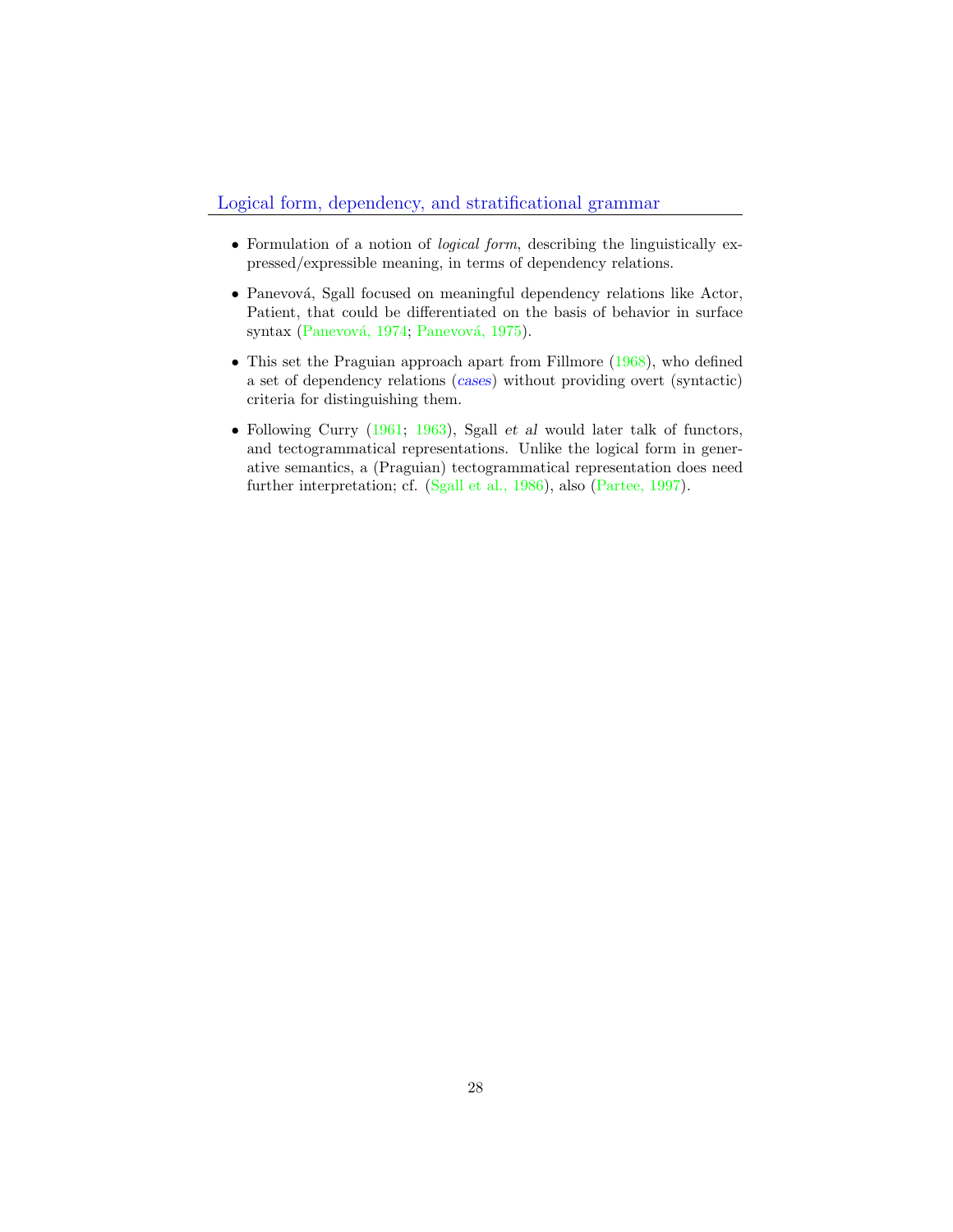- <span id="page-27-0"></span>• Formulation of a notion of logical form, describing the linguistically expressed/expressible meaning, in terms of dependency relations.
- Panevová, Sgall focused on meaningful dependency relations like Actor, Patient, that could be differentiated on the basis of behavior in surface syntax (Panevová, 1974; Panevová, 1975).
- This set the Praguian approach apart from Fillmore (1968), who defined a set of dependency relations (cases) without providing overt (syntactic) criteria for distinguishing them.
- Following Curry  $(1961; 1963)$ , Sgall et al would later talk of functors, and tectogrammatical representations. Unlike the logical form in generative semantics, a (Praguian) tectogrammatical representation does need further interpretation; cf. (Sgall et al., 1986), also (Partee, 1997).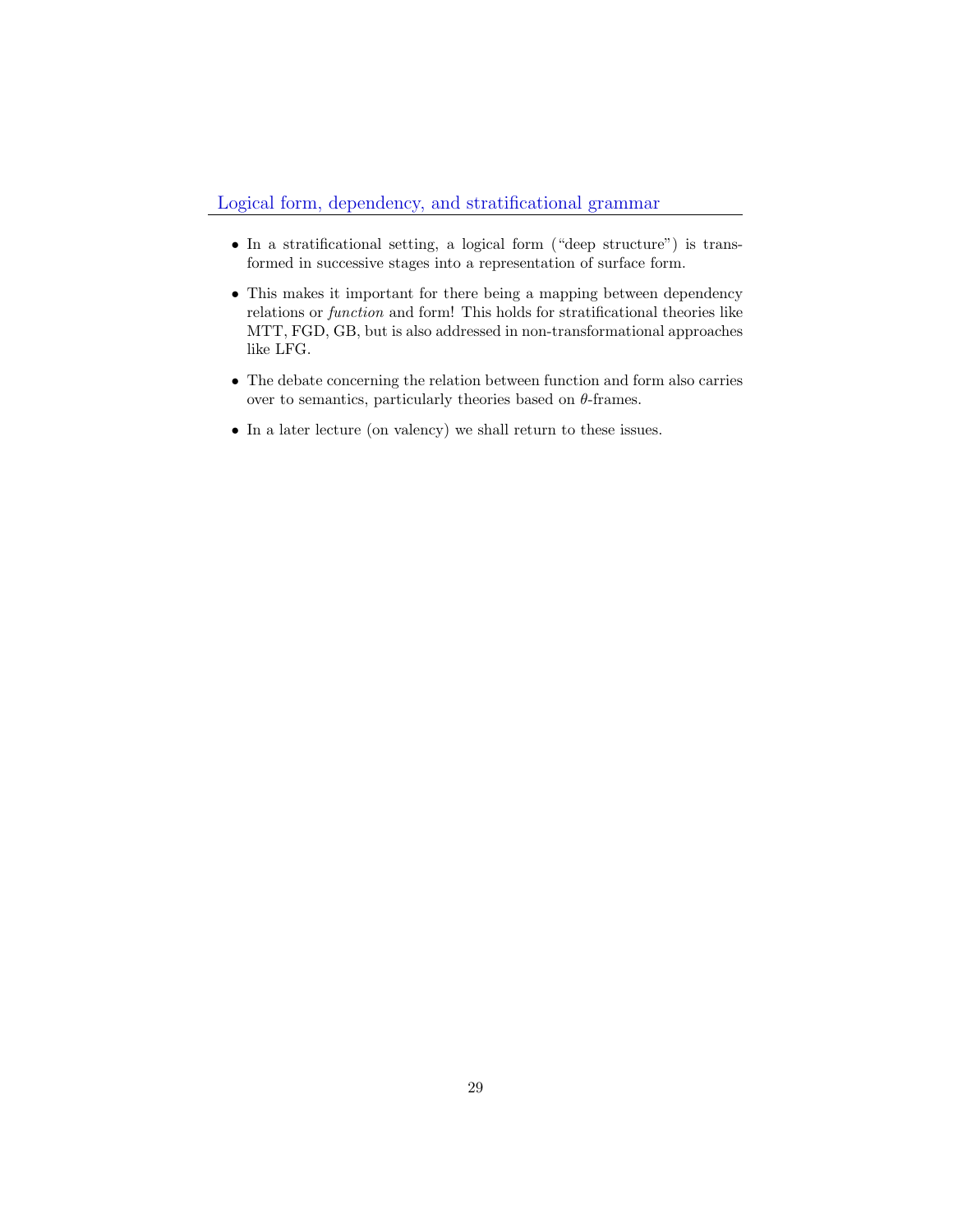- In a stratificational setting, a logical form ("deep structure") is transformed in successive stages into a representation of surface form.
- This makes it important for there being a mapping between dependency relations or function and form! This holds for stratificational theories like MTT, FGD, GB, but is also addressed in non-transformational approaches like LFG.
- The debate concerning the relation between function and form also carries over to semantics, particularly theories based on  $\theta$ -frames.
- In a later lecture (on valency) we shall return to these issues.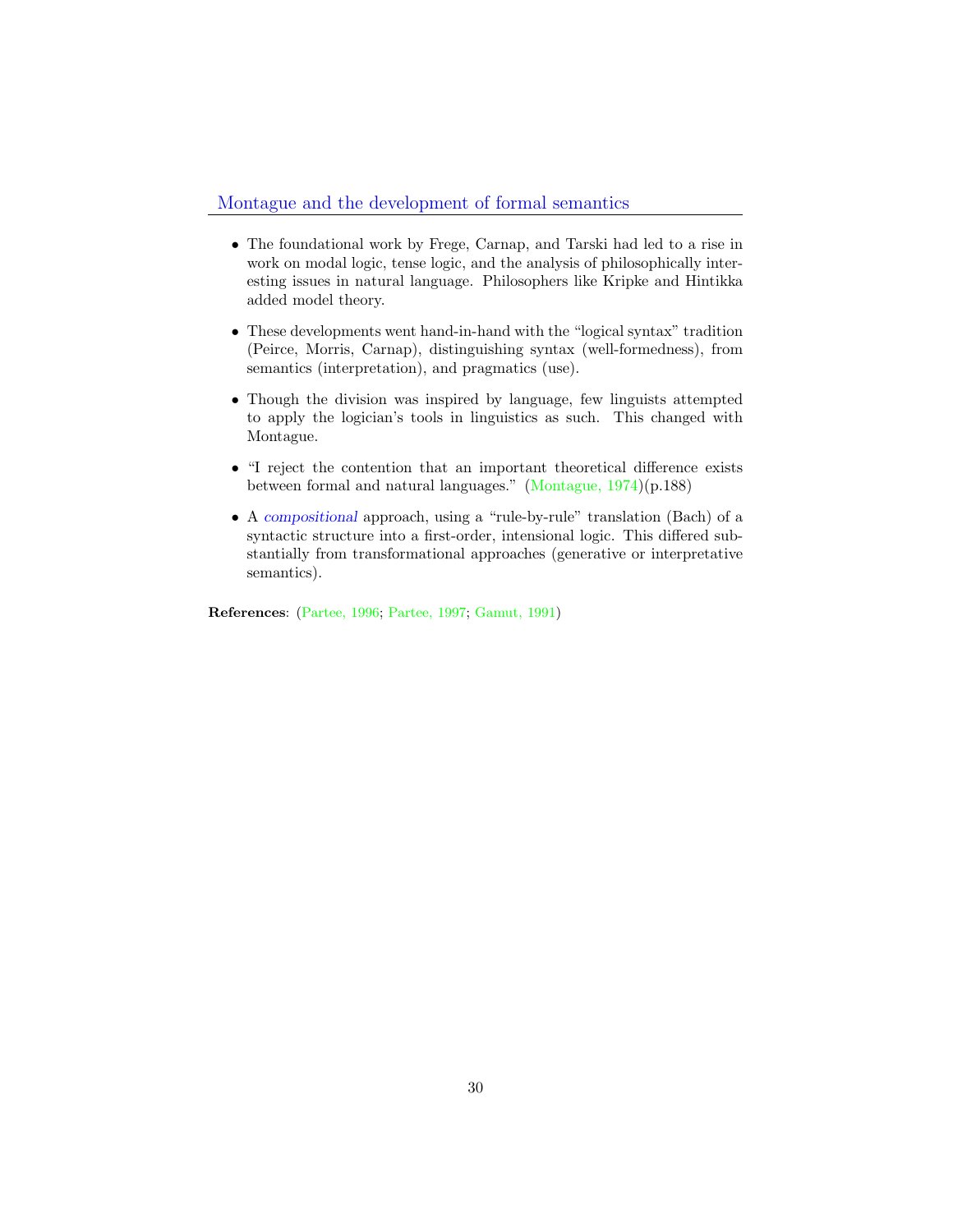#### Montague and the development of formal semantics

- The foundational work by Frege, Carnap, and Tarski had led to a rise in work on modal logic, tense logic, and the analysis of philosophically interesting issues in natural language. Philosophers like Kripke and Hintikka added model theory.
- These developments went hand-in-hand with the "logical syntax" tradition (Peirce, Morris, Carnap), distinguishing syntax (well-formedness), from semantics (interpretation), and pragmatics (use).
- Though the division was inspired by language, few linguists attempted to apply the logician's tools in linguistics as such. This changed with Montague.
- "I reject the contention that an important theoretical difference exists between formal and natural languages." (Montague, 1974)(p.188)
- A compositional approach, using a "rule-by-rule" translation (Bach) of a syntactic structure into a first-order, intensional logic. This differed substantially from transformational approaches (generative or interpretative semantics).

References: (Partee, 1996; Partee, 1997; Gamut, 1991)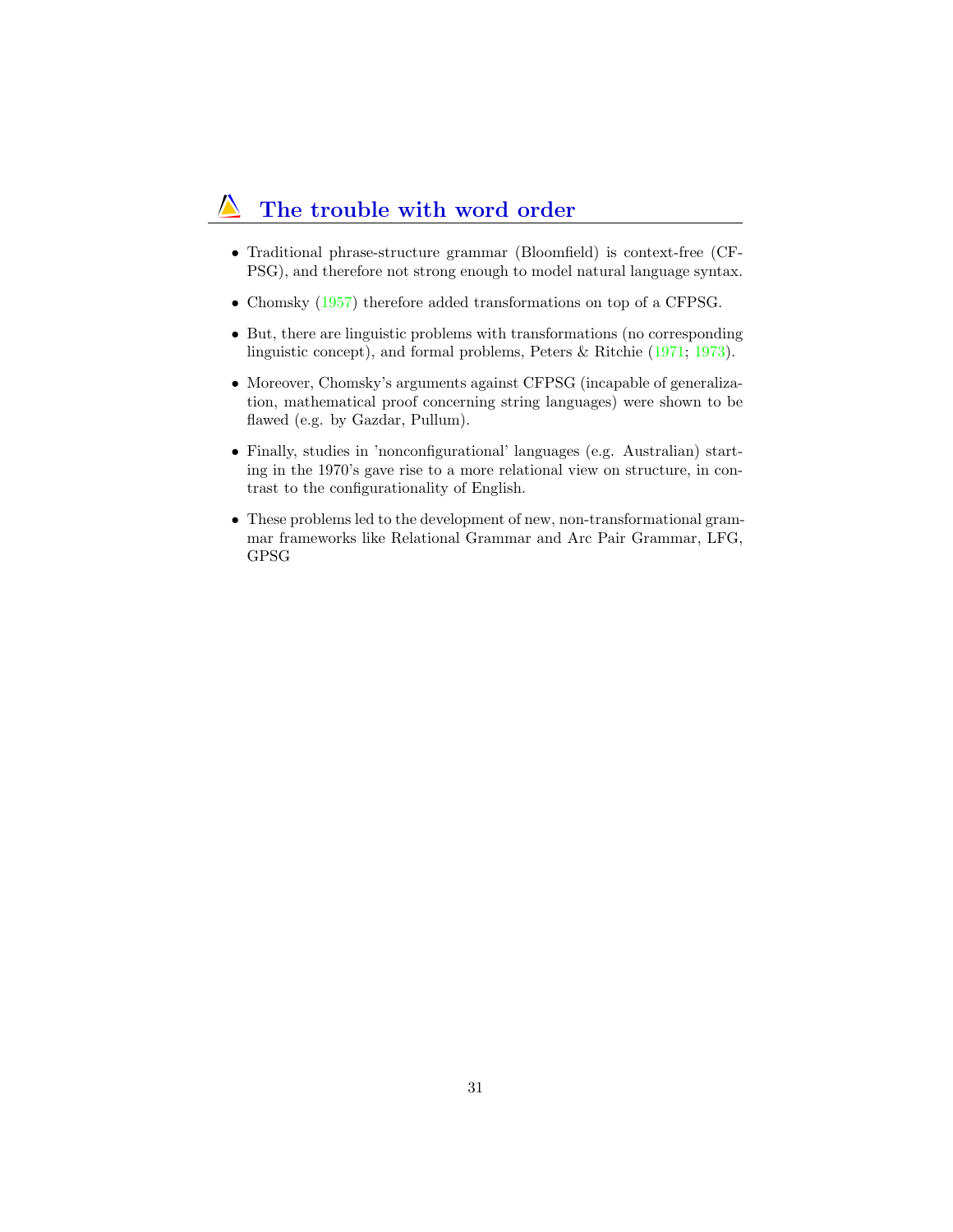### The trouble with word order

- Traditional phrase-structure grammar (Bloomfield) is context-free (CF-PSG), and therefore not strong enough to model natural language syntax.
- Chomsky  $(1957)$  therefore added transformations on top of a CFPSG.
- But, there are linguistic problems with transformations (no corresponding linguistic concept), and formal problems, Peters & Ritchie (1971; 1973).
- Moreover, Chomsky's arguments against CFPSG (incapable of generalization, mathematical proof concerning string languages) were shown to be flawed (e.g. by Gazdar, Pullum).
- Finally, studies in 'nonconfigurational' languages (e.g. Australian) starting in the 1970's gave rise to a more relational view on structure, in contrast to the configurationality of English.
- These problems led to the development of new, non-transformational grammar frameworks like Relational Grammar and Arc Pair Grammar, LFG, GPSG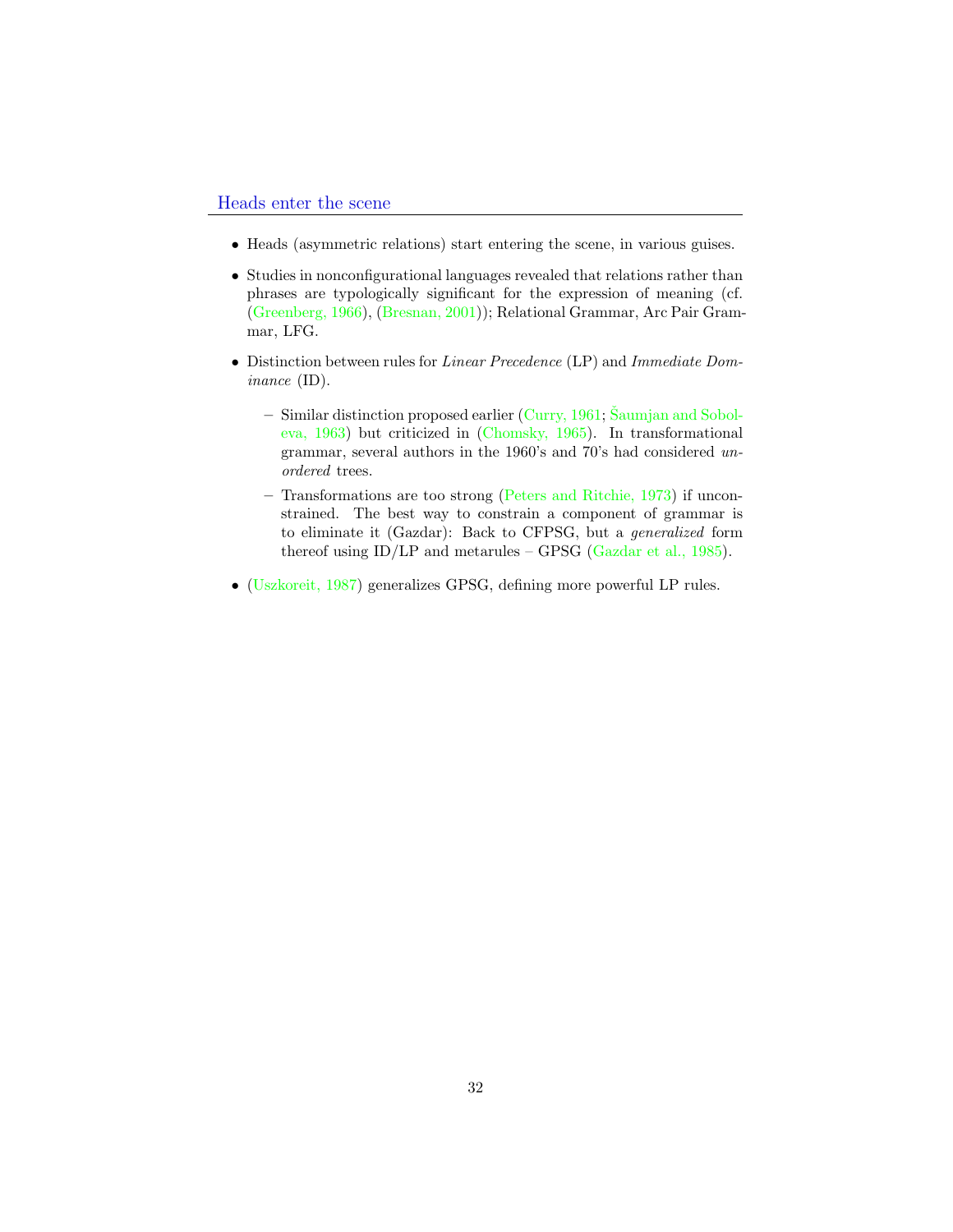- <span id="page-31-0"></span>• Heads (asymmetric relations) start entering the scene, in various guises.
- Studies in nonconfigurational languages revealed that relations rather than phrases are typologically significant for the expression of meaning (cf. (Greenberg, 1966), (Bresnan, 2001)); Relational Grammar, Arc Pair Grammar, LFG.
- Distinction between rules for Linear Precedence (LP) and Immediate Dominance (ID).
	- Similar distinction proposed earlier (Curry, 1961; Šaumjan and Soboleva, 1963) but criticized in (Chomsky, 1965). In transformational grammar, several authors in the 1960's and 70's had considered unordered trees.
	- Transformations are too strong (Peters and Ritchie, 1973) if unconstrained. The best way to constrain a component of grammar is to eliminate it (Gazdar): Back to CFPSG, but a generalized form thereof using  $ID/LP$  and metarules – GPSG (Gazdar et al., 1985).
- (Uszkoreit, 1987) generalizes GPSG, defining more powerful LP rules.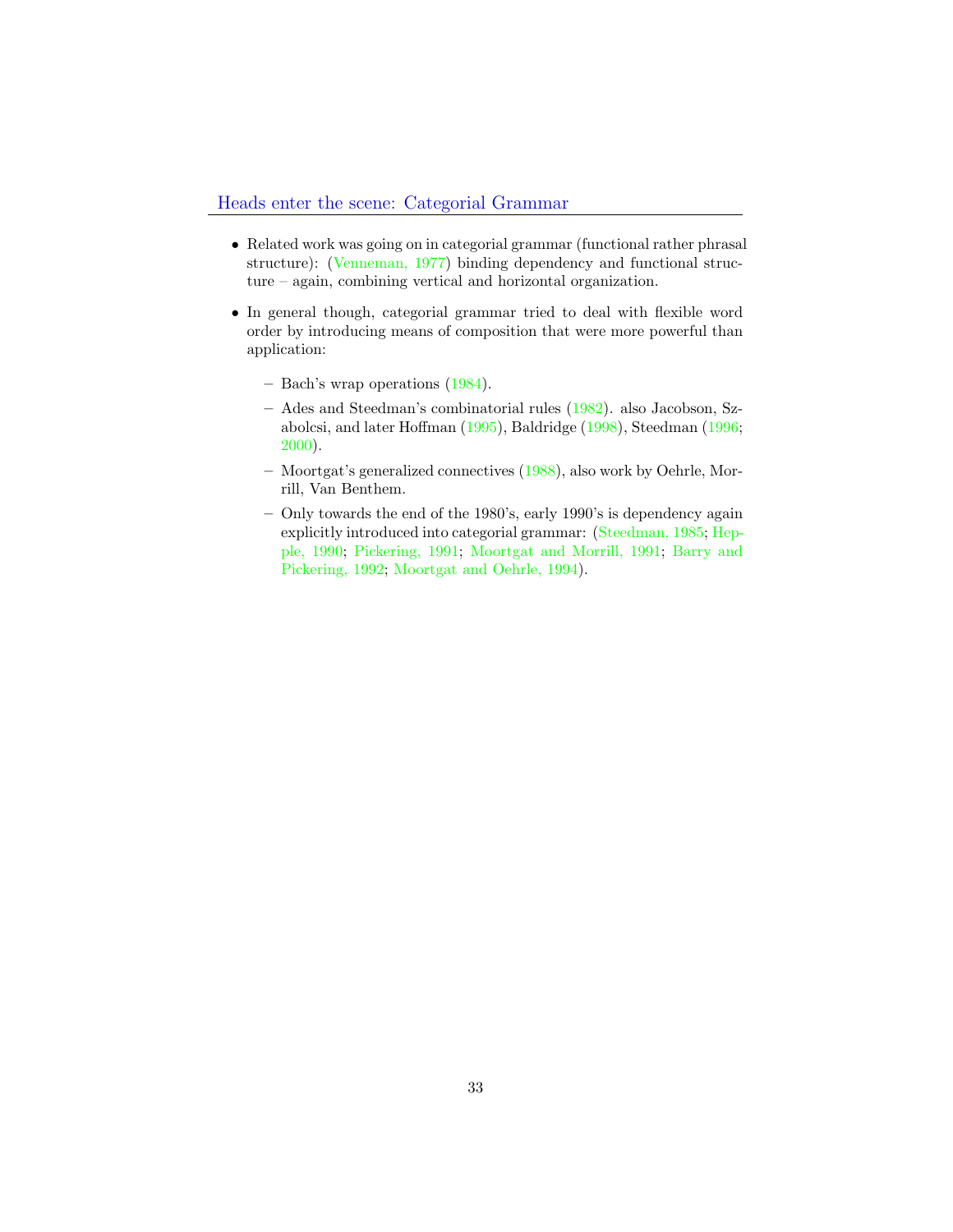- Related work was going on in categorial grammar (functional rather phrasal structure): (Venneman, 1977) binding dependency and functional structure – again, combining vertical and horizontal organization.
- In general though, categorial grammar tried to deal with flexible word order by introducing means of composition that were more powerful than application:
	- Bach's wrap operations (1984).
	- Ades and Steedman's combinatorial rules (1982). also Jacobson, Szabolcsi, and later Hoffman (1995), Baldridge (1998), Steedman (1996; 2000).
	- Moortgat's generalized connectives (1988), also work by Oehrle, Morrill, Van Benthem.
	- Only towards the end of the 1980's, early 1990's is dependency again explicitly introduced into categorial grammar: (Steedman, 1985; Hepple, 1990; Pickering, 1991; Moortgat and Morrill, 1991; Barry and Pickering, 1992; Moortgat and Oehrle, 1994).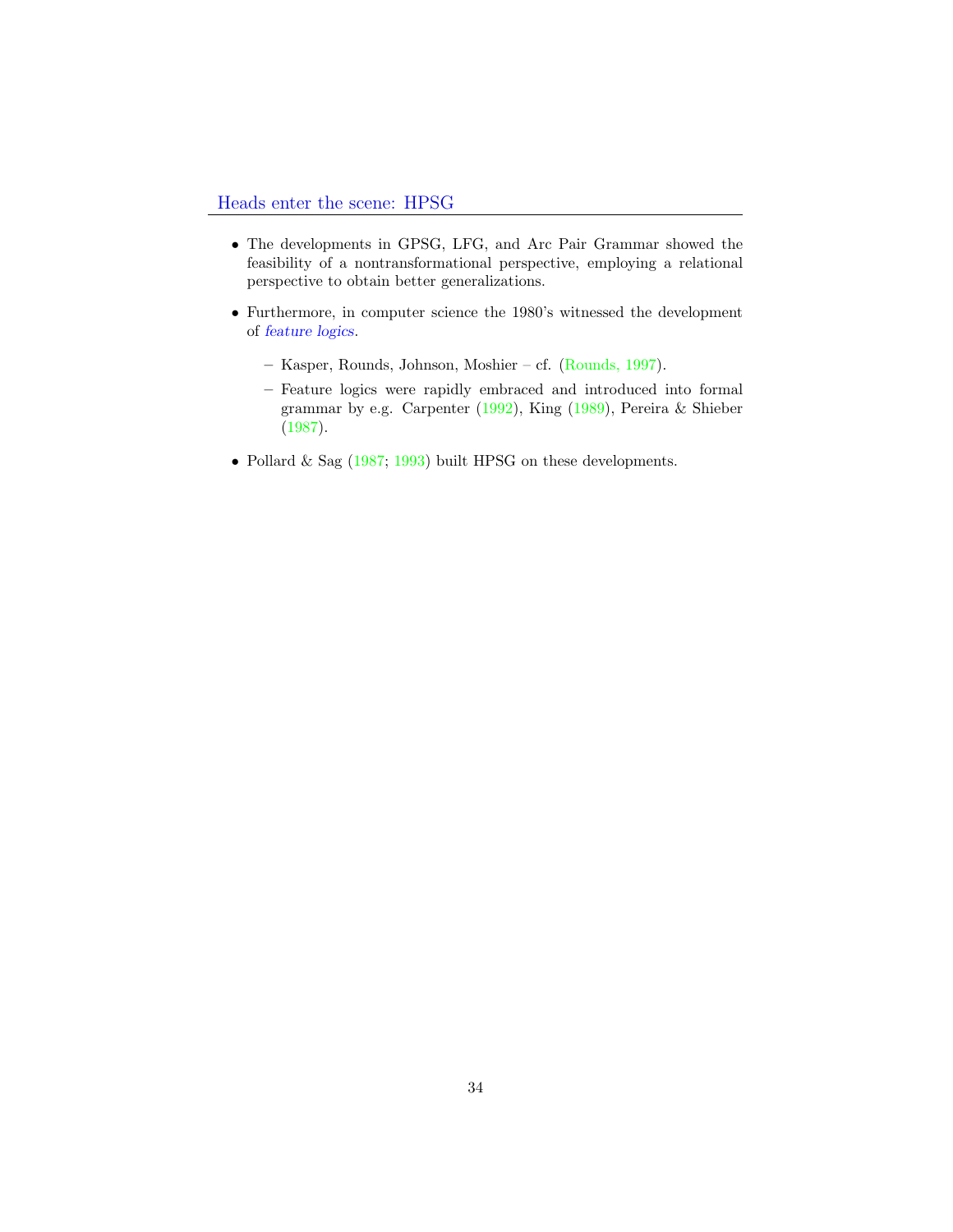- The developments in GPSG, LFG, and Arc Pair Grammar showed the feasibility of a nontransformational perspective, employing a relational perspective to obtain better generalizations.
- Furthermore, in computer science the 1980's witnessed the development of feature logics.
	- Kasper, Rounds, Johnson, Moshier cf. (Rounds, 1997).
	- Feature logics were rapidly embraced and introduced into formal grammar by e.g. Carpenter (1992), King (1989), Pereira & Shieber (1987).
- Pollard & Sag (1987; 1993) built HPSG on these developments.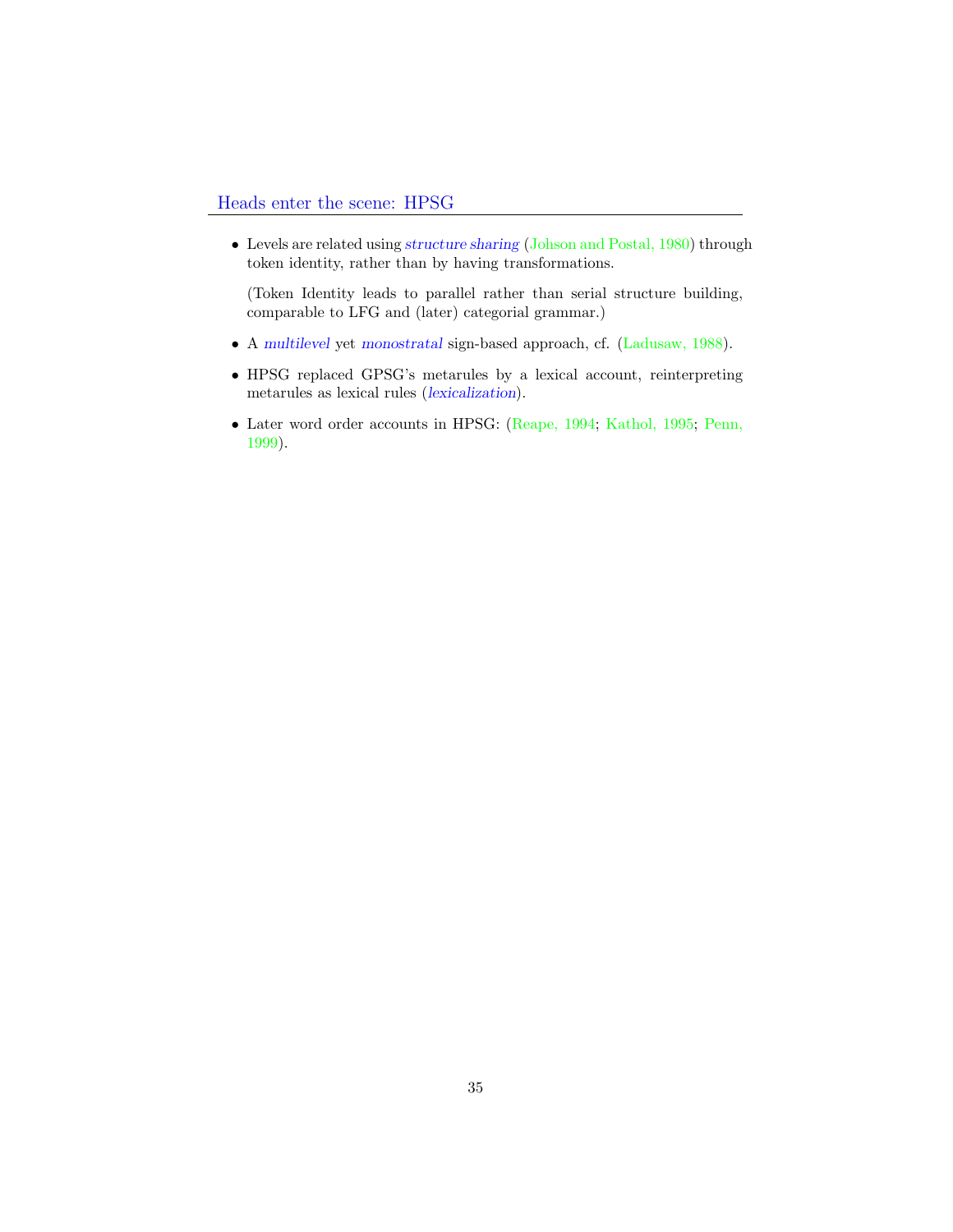• Levels are related using structure sharing (Johson and Postal, 1980) through token identity, rather than by having transformations.

(Token Identity leads to parallel rather than serial structure building, comparable to LFG and (later) categorial grammar.)

- A multilevel yet monostratal sign-based approach, cf. (Ladusaw, 1988).
- HPSG replaced GPSG's metarules by a lexical account, reinterpreting metarules as lexical rules (lexicalization).
- Later word order accounts in HPSG: (Reape, 1994; Kathol, 1995; Penn, 1999).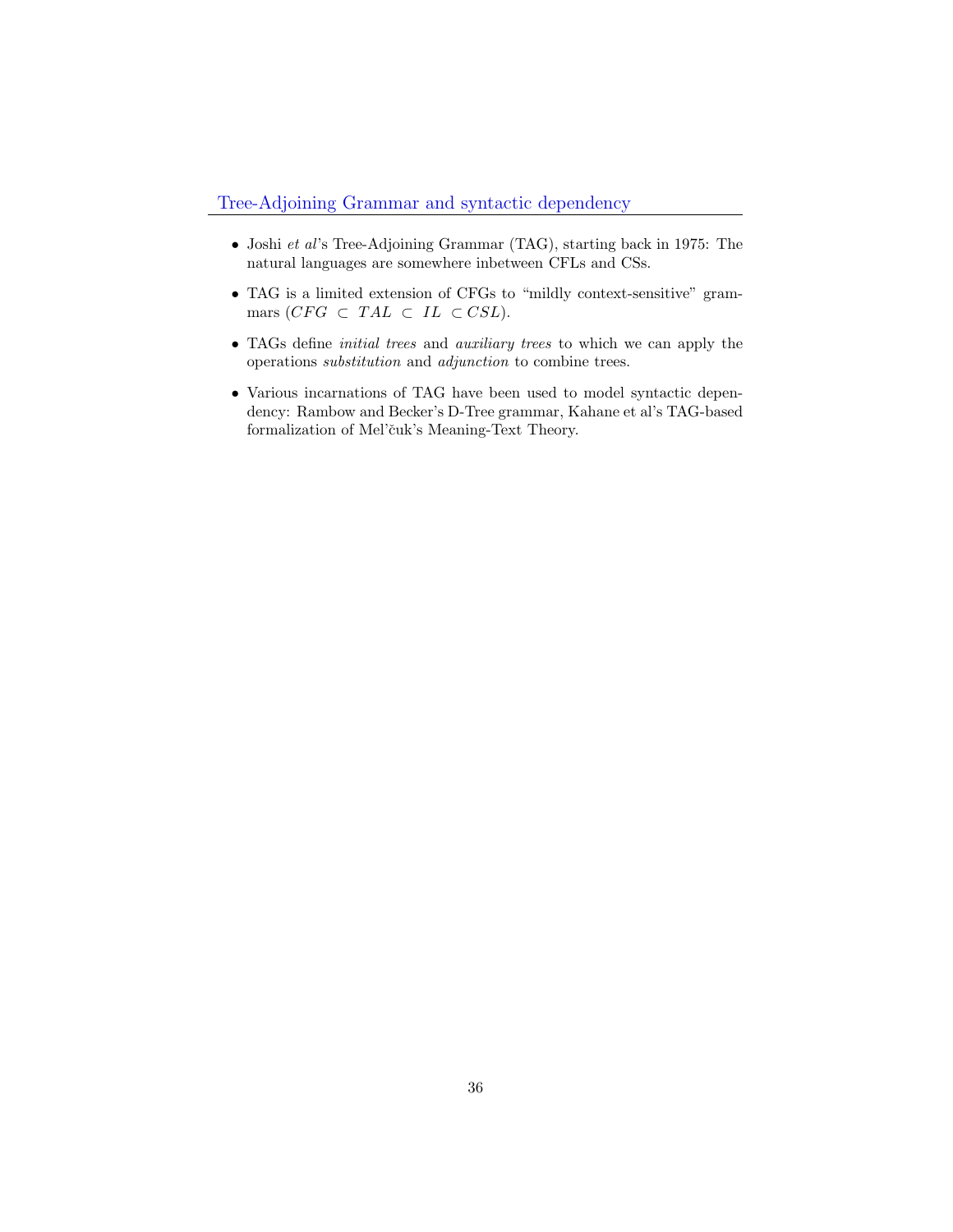- Joshi et al's Tree-Adjoining Grammar (TAG), starting back in 1975: The natural languages are somewhere inbetween CFLs and CSs.
- TAG is a limited extension of CFGs to "mildly context-sensitive" grammars  $(CFG \subset TAL \subset IL \subset CSL)$ .
- TAGs define *initial trees* and *auxiliary trees* to which we can apply the operations substitution and adjunction to combine trees.
- Various incarnations of TAG have been used to model syntactic dependency: Rambow and Becker's D-Tree grammar, Kahane et al's TAG-based formalization of Mel'čuk's Meaning-Text Theory.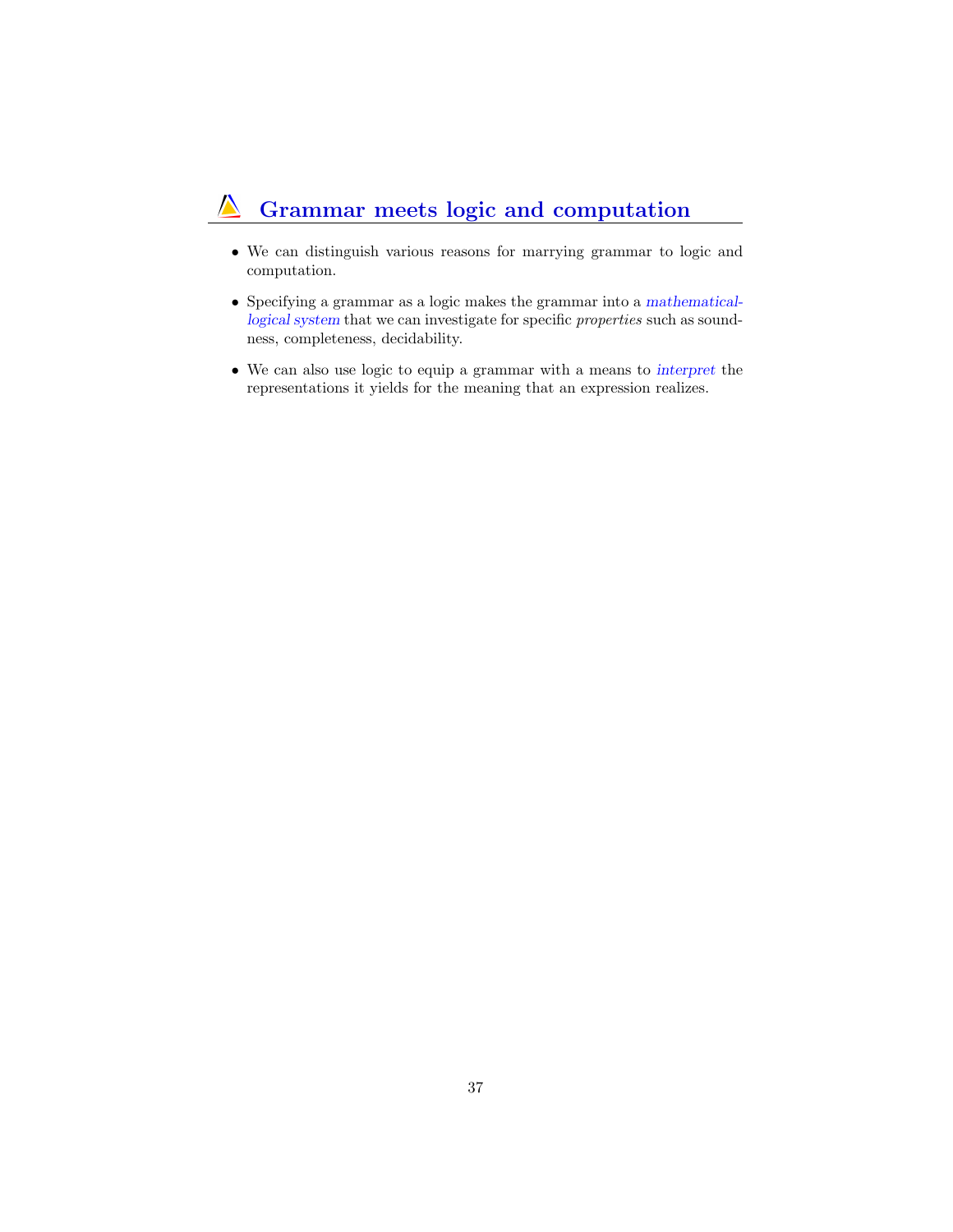#### Grammar meets logic and computation  $\Lambda$

- We can distinguish various reasons for marrying grammar to logic and computation.
- Specifying a grammar as a logic makes the grammar into a mathematicallogical system that we can investigate for specific properties such as soundness, completeness, decidability.
- We can also use logic to equip a grammar with a means to interpret the representations it yields for the meaning that an expression realizes.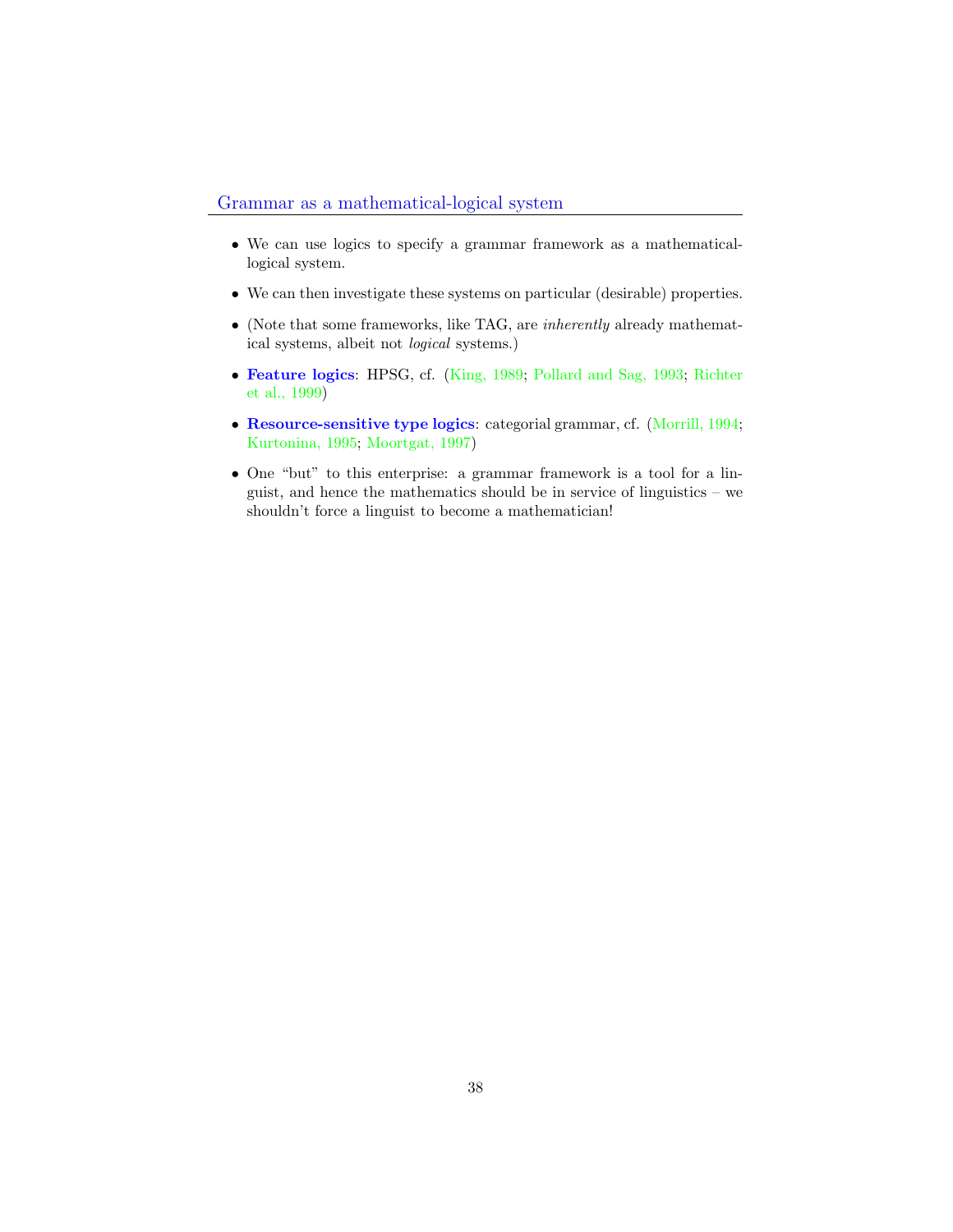- <span id="page-37-0"></span>• We can use logics to specify a grammar framework as a mathematicallogical system.
- We can then investigate these systems on particular (desirable) properties.
- (Note that some frameworks, like TAG, are inherently already mathematical systems, albeit not logical systems.)
- Feature logics: HPSG, cf. (King, 1989; Pollard and Sag, 1993; Richter et al., 1999)
- Resource-sensitive type logics: categorial grammar, cf. (Morrill, 1994; Kurtonina, 1995; Moortgat, 1997)
- One "but" to this enterprise: a grammar framework is a tool for a linguist, and hence the mathematics should be in service of linguistics – we shouldn't force a linguist to become a mathematician!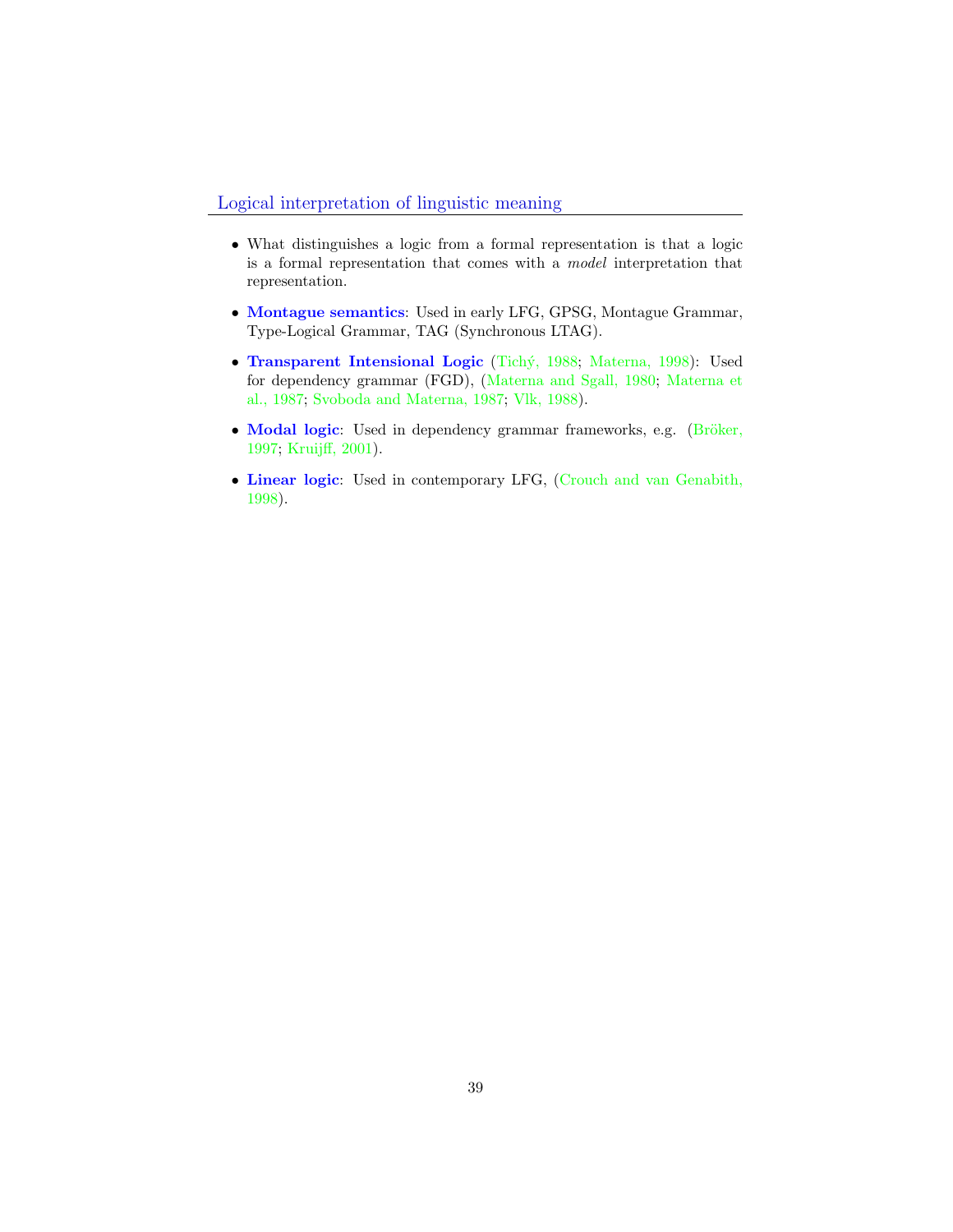#### Logical interpretation of linguistic meaning

- What distinguishes a logic from a formal representation is that a logic is a formal representation that comes with a model interpretation that representation.
- Montague semantics: Used in early LFG, GPSG, Montague Grammar, Type-Logical Grammar, TAG (Synchronous LTAG).
- Transparent Intensional Logic (Tichý, 1988; Materna, 1998): Used for dependency grammar (FGD), (Materna and Sgall, 1980; Materna et al., 1987; Svoboda and Materna, 1987; Vlk, 1988).
- Modal logic: Used in dependency grammar frameworks, e.g. (Bröker, 1997; Kruijff, 2001).
- Linear logic: Used in contemporary LFG, (Crouch and van Genabith, 1998).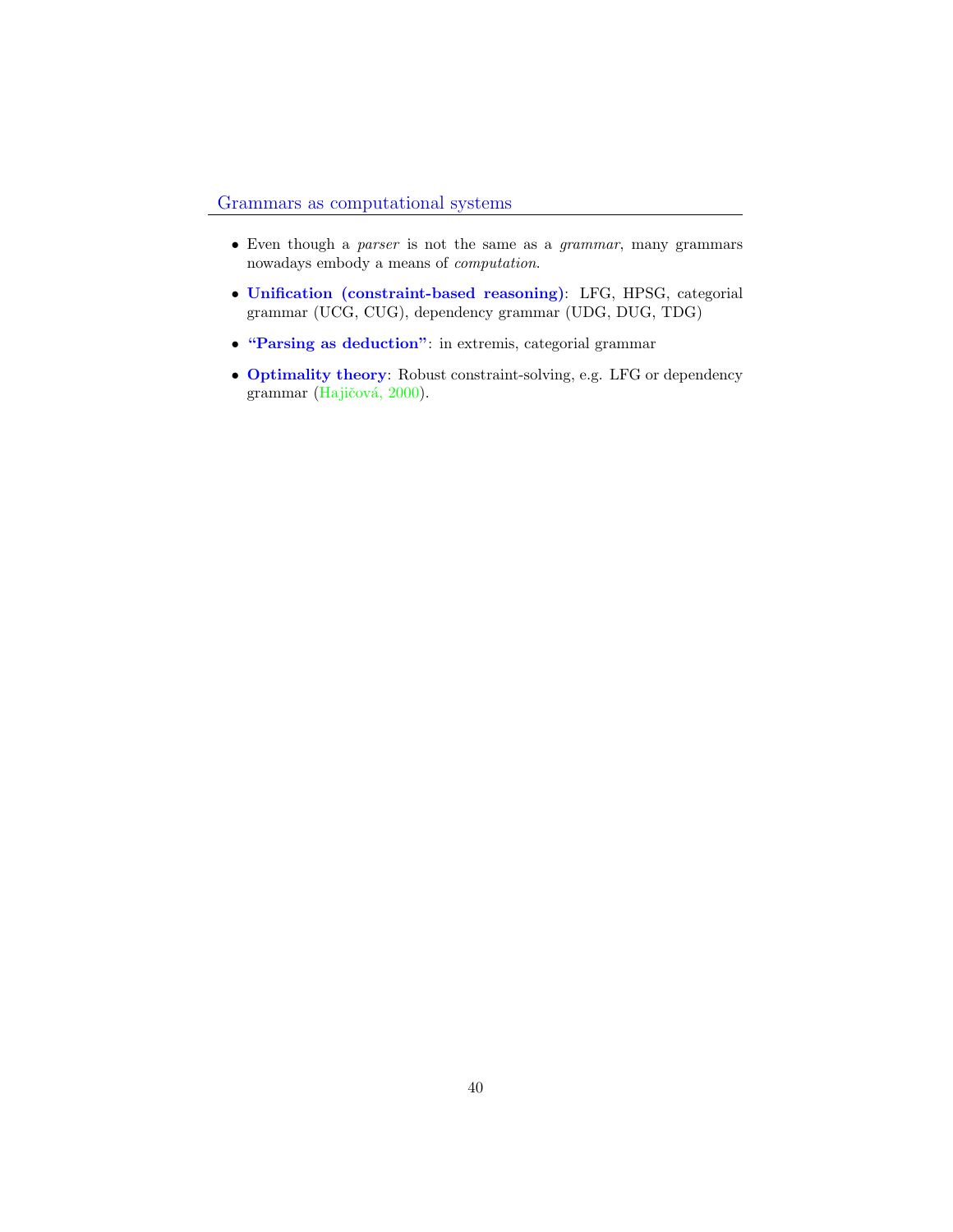### Grammars as computational systems

- Even though a parser is not the same as a grammar, many grammars nowadays embody a means of computation.
- Unification (constraint-based reasoning): LFG, HPSG, categorial grammar (UCG, CUG), dependency grammar (UDG, DUG, TDG)
- "Parsing as deduction": in extremis, categorial grammar
- Optimality theory: Robust constraint-solving, e.g. LFG or dependency grammar (Hajičová, 2000).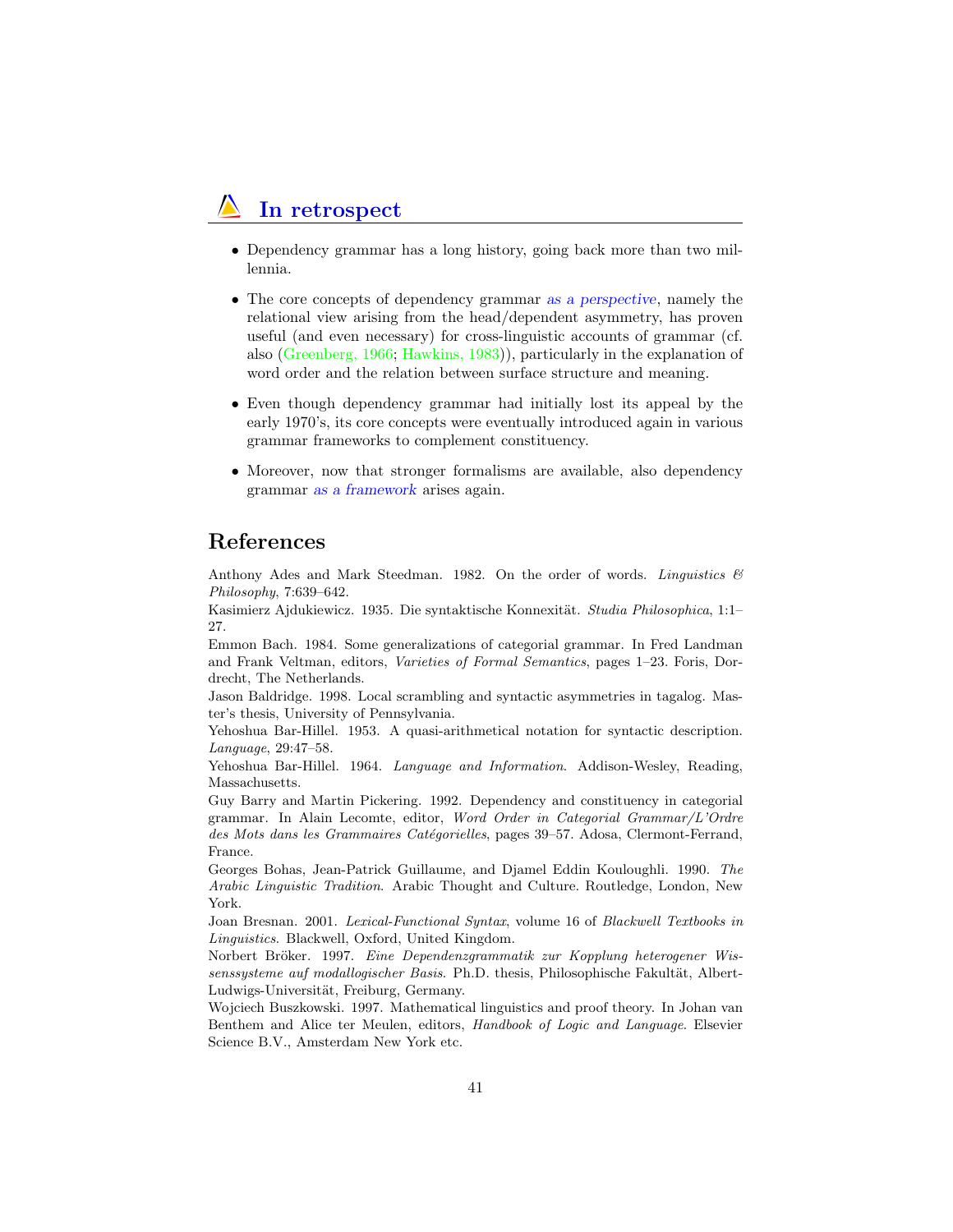### In retrospect

- Dependency grammar has a long history, going back more than two millennia.
- The core concepts of dependency grammar as a perspective, namely the relational view arising from the head/dependent asymmetry, has proven useful (and even necessary) for cross-linguistic accounts of grammar (cf. also (Greenberg, 1966; Hawkins, 1983)), particularly in the explanation of word order and the relation between surface structure and meaning.
- Even though dependency grammar had initially lost its appeal by the early 1970's, its core concepts were eventually introduced again in various grammar frameworks to complement constituency.
- Moreover, now that stronger formalisms are available, also dependency grammar as a framework arises again.

### References

Anthony Ades and Mark Steedman. 1982. On the order of words. Linguistics  $\mathcal{B}'$ Philosophy, 7:639–642.

Kasimierz Ajdukiewicz. 1935. Die syntaktische Konnexität. Studia Philosophica, 1:1– 27.

Emmon Bach. 1984. Some generalizations of categorial grammar. In Fred Landman and Frank Veltman, editors, Varieties of Formal Semantics, pages 1–23. Foris, Dordrecht, The Netherlands.

Jason Baldridge. 1998. Local scrambling and syntactic asymmetries in tagalog. Master's thesis, University of Pennsylvania.

Yehoshua Bar-Hillel. 1953. A quasi-arithmetical notation for syntactic description. Language, 29:47–58.

Yehoshua Bar-Hillel. 1964. Language and Information. Addison-Wesley, Reading, Massachusetts.

Guy Barry and Martin Pickering. 1992. Dependency and constituency in categorial grammar. In Alain Lecomte, editor, Word Order in Categorial Grammar/L'Ordre des Mots dans les Grammaires Catégorielles, pages 39–57. Adosa, Clermont-Ferrand, France.

Georges Bohas, Jean-Patrick Guillaume, and Djamel Eddin Kouloughli. 1990. The Arabic Linguistic Tradition. Arabic Thought and Culture. Routledge, London, New York.

Joan Bresnan. 2001. Lexical-Functional Syntax, volume 16 of Blackwell Textbooks in Linguistics. Blackwell, Oxford, United Kingdom.

Norbert Bröker. 1997. Eine Dependenzgrammatik zur Kopplung heterogener Wissenssysteme auf modallogischer Basis. Ph.D. thesis, Philosophische Fakultät, Albert-Ludwigs-Universität, Freiburg, Germany.

Wojciech Buszkowski. 1997. Mathematical linguistics and proof theory. In Johan van Benthem and Alice ter Meulen, editors, Handbook of Logic and Language. Elsevier Science B.V., Amsterdam New York etc.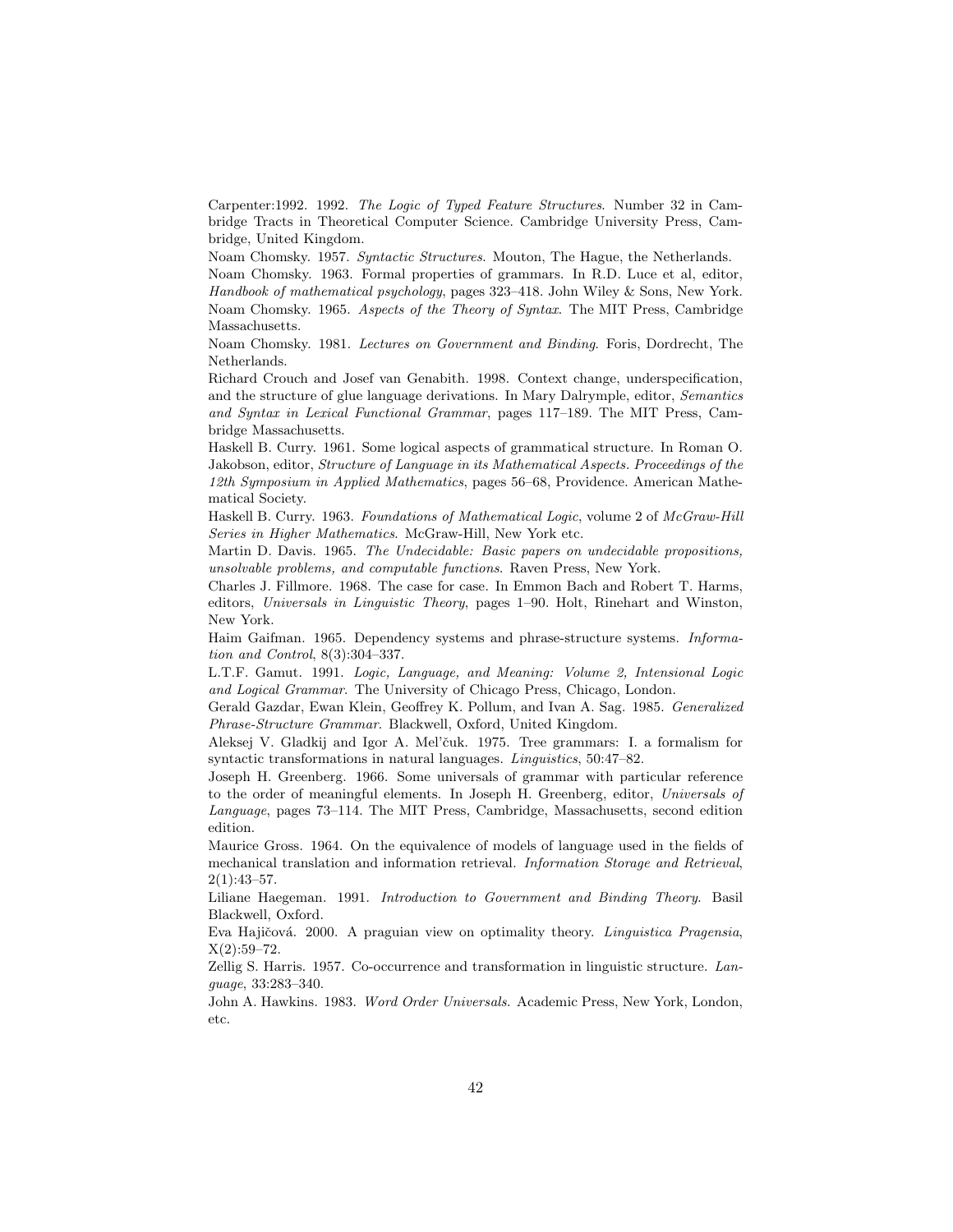Carpenter:1992. 1992. The Logic of Typed Feature Structures. Number 32 in Cambridge Tracts in Theoretical Computer Science. Cambridge University Press, Cambridge, United Kingdom.

Noam Chomsky. 1957. Syntactic Structures. Mouton, The Hague, the Netherlands.

Noam Chomsky. 1963. Formal properties of grammars. In R.D. Luce et al, editor, Handbook of mathematical psychology, pages 323–418. John Wiley & Sons, New York. Noam Chomsky. 1965. Aspects of the Theory of Syntax. The MIT Press, Cambridge Massachusetts.

Noam Chomsky. 1981. Lectures on Government and Binding. Foris, Dordrecht, The Netherlands.

Richard Crouch and Josef van Genabith. 1998. Context change, underspecification, and the structure of glue language derivations. In Mary Dalrymple, editor, Semantics and Syntax in Lexical Functional Grammar, pages 117–189. The MIT Press, Cambridge Massachusetts.

Haskell B. Curry. 1961. Some logical aspects of grammatical structure. In Roman O. Jakobson, editor, Structure of Language in its Mathematical Aspects. Proceedings of the 12th Symposium in Applied Mathematics, pages 56–68, Providence. American Mathematical Society.

Haskell B. Curry. 1963. Foundations of Mathematical Logic, volume 2 of McGraw-Hill Series in Higher Mathematics. McGraw-Hill, New York etc.

Martin D. Davis. 1965. The Undecidable: Basic papers on undecidable propositions, unsolvable problems, and computable functions. Raven Press, New York.

Charles J. Fillmore. 1968. The case for case. In Emmon Bach and Robert T. Harms, editors, Universals in Linguistic Theory, pages 1–90. Holt, Rinehart and Winston, New York.

Haim Gaifman. 1965. Dependency systems and phrase-structure systems. Information and Control, 8(3):304–337.

L.T.F. Gamut. 1991. Logic, Language, and Meaning: Volume 2, Intensional Logic and Logical Grammar. The University of Chicago Press, Chicago, London.

Gerald Gazdar, Ewan Klein, Geoffrey K. Pollum, and Ivan A. Sag. 1985. Generalized Phrase-Structure Grammar. Blackwell, Oxford, United Kingdom.

Aleksej V. Gladkij and Igor A. Mel'čuk. 1975. Tree grammars: I. a formalism for syntactic transformations in natural languages. Linguistics, 50:47–82.

Joseph H. Greenberg. 1966. Some universals of grammar with particular reference to the order of meaningful elements. In Joseph H. Greenberg, editor, Universals of Language, pages 73–114. The MIT Press, Cambridge, Massachusetts, second edition edition.

Maurice Gross. 1964. On the equivalence of models of language used in the fields of mechanical translation and information retrieval. Information Storage and Retrieval,  $2(1):43-57.$ 

Liliane Haegeman. 1991. Introduction to Government and Binding Theory. Basil Blackwell, Oxford.

Eva Hajičová. 2000. A praguian view on optimality theory. *Linguistica Pragensia*,  $X(2):59-72.$ 

Zellig S. Harris. 1957. Co-occurrence and transformation in linguistic structure. Language, 33:283–340.

John A. Hawkins. 1983. Word Order Universals. Academic Press, New York, London, etc.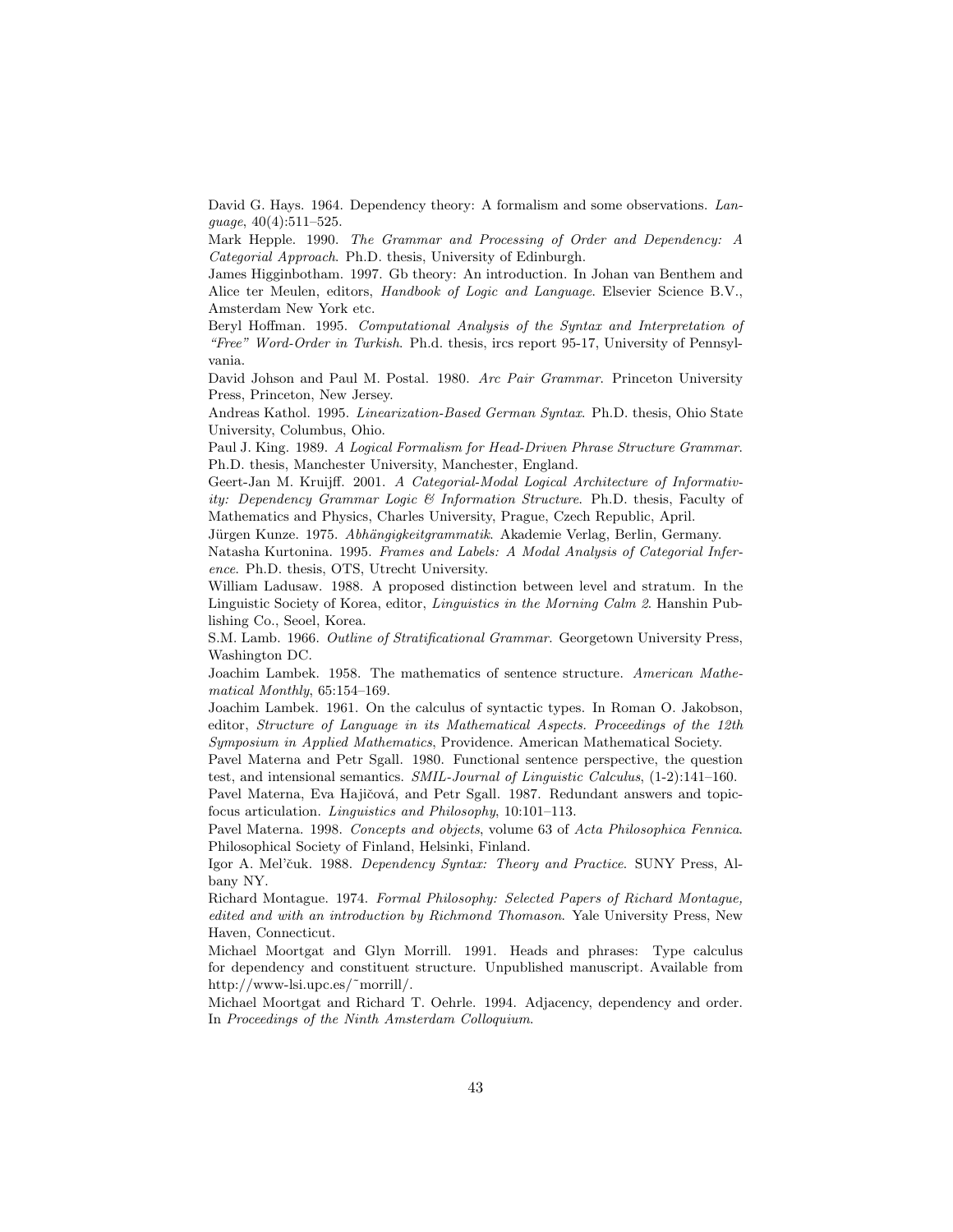David G. Hays. 1964. Dependency theory: A formalism and some observations. Language, 40(4):511–525.

Mark Hepple. 1990. The Grammar and Processing of Order and Dependency: A Categorial Approach. Ph.D. thesis, University of Edinburgh.

James Higginbotham. 1997. Gb theory: An introduction. In Johan van Benthem and Alice ter Meulen, editors, Handbook of Logic and Language. Elsevier Science B.V., Amsterdam New York etc.

Beryl Hoffman. 1995. Computational Analysis of the Syntax and Interpretation of "Free" Word-Order in Turkish. Ph.d. thesis, ircs report 95-17, University of Pennsylvania.

David Johson and Paul M. Postal. 1980. Arc Pair Grammar. Princeton University Press, Princeton, New Jersey.

Andreas Kathol. 1995. Linearization-Based German Syntax. Ph.D. thesis, Ohio State University, Columbus, Ohio.

Paul J. King. 1989. A Logical Formalism for Head-Driven Phrase Structure Grammar. Ph.D. thesis, Manchester University, Manchester, England.

Geert-Jan M. Kruijff. 2001. A Categorial-Modal Logical Architecture of Informativity: Dependency Grammar Logic & Information Structure. Ph.D. thesis, Faculty of Mathematics and Physics, Charles University, Prague, Czech Republic, April.

Jürgen Kunze. 1975. Abhängigkeitgrammatik. Akademie Verlag, Berlin, Germany.

Natasha Kurtonina. 1995. Frames and Labels: A Modal Analysis of Categorial Inference. Ph.D. thesis, OTS, Utrecht University.

William Ladusaw. 1988. A proposed distinction between level and stratum. In the Linguistic Society of Korea, editor, Linguistics in the Morning Calm 2. Hanshin Publishing Co., Seoel, Korea.

S.M. Lamb. 1966. Outline of Stratificational Grammar. Georgetown University Press, Washington DC.

Joachim Lambek. 1958. The mathematics of sentence structure. American Mathematical Monthly, 65:154–169.

Joachim Lambek. 1961. On the calculus of syntactic types. In Roman O. Jakobson, editor, Structure of Language in its Mathematical Aspects. Proceedings of the 12th Symposium in Applied Mathematics, Providence. American Mathematical Society.

Pavel Materna and Petr Sgall. 1980. Functional sentence perspective, the question test, and intensional semantics. SMIL-Journal of Linguistic Calculus, (1-2):141–160.

Pavel Materna, Eva Hajičová, and Petr Sgall. 1987. Redundant answers and topicfocus articulation. Linguistics and Philosophy, 10:101–113.

Pavel Materna. 1998. Concepts and objects, volume 63 of Acta Philosophica Fennica. Philosophical Society of Finland, Helsinki, Finland.

Igor A. Mel'čuk. 1988. Dependency Syntax: Theory and Practice. SUNY Press, Albany NY.

Richard Montague. 1974. Formal Philosophy: Selected Papers of Richard Montague, edited and with an introduction by Richmond Thomason. Yale University Press, New Haven, Connecticut.

Michael Moortgat and Glyn Morrill. 1991. Heads and phrases: Type calculus for dependency and constituent structure. Unpublished manuscript. Available from http://www-lsi.upc.es/˜morrill/.

Michael Moortgat and Richard T. Oehrle. 1994. Adjacency, dependency and order. In Proceedings of the Ninth Amsterdam Colloquium.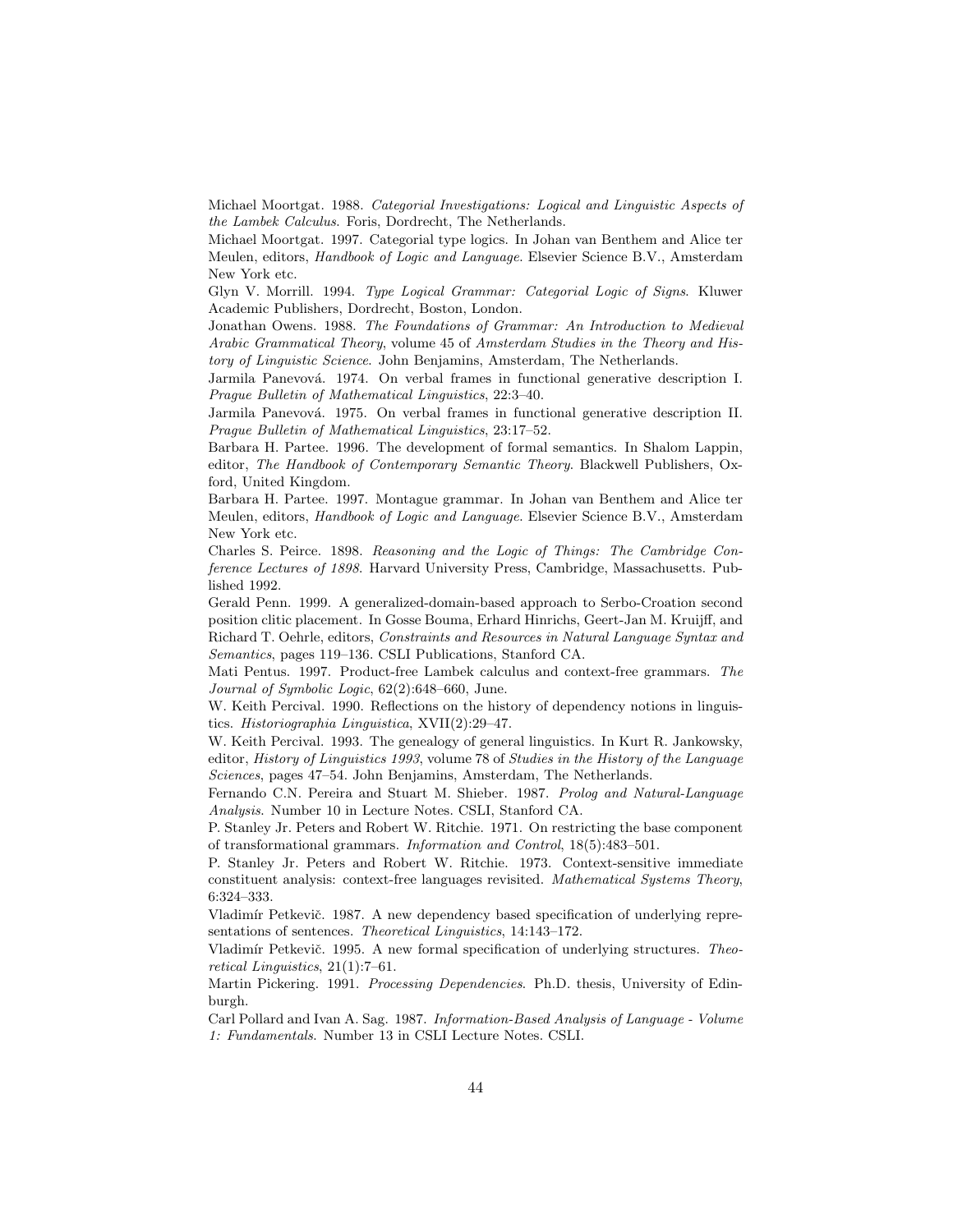Michael Moortgat. 1988. Categorial Investigations: Logical and Linguistic Aspects of the Lambek Calculus. Foris, Dordrecht, The Netherlands.

Michael Moortgat. 1997. Categorial type logics. In Johan van Benthem and Alice ter Meulen, editors, Handbook of Logic and Language. Elsevier Science B.V., Amsterdam New York etc.

Glyn V. Morrill. 1994. Type Logical Grammar: Categorial Logic of Signs. Kluwer Academic Publishers, Dordrecht, Boston, London.

Jonathan Owens. 1988. The Foundations of Grammar: An Introduction to Medieval Arabic Grammatical Theory, volume 45 of Amsterdam Studies in the Theory and History of Linguistic Science. John Benjamins, Amsterdam, The Netherlands.

Jarmila Panevová. 1974. On verbal frames in functional generative description I. Prague Bulletin of Mathematical Linguistics, 22:3–40.

Jarmila Panevová. 1975. On verbal frames in functional generative description II. Prague Bulletin of Mathematical Linguistics, 23:17–52.

Barbara H. Partee. 1996. The development of formal semantics. In Shalom Lappin, editor, The Handbook of Contemporary Semantic Theory. Blackwell Publishers, Oxford, United Kingdom.

Barbara H. Partee. 1997. Montague grammar. In Johan van Benthem and Alice ter Meulen, editors, Handbook of Logic and Language. Elsevier Science B.V., Amsterdam New York etc.

Charles S. Peirce. 1898. Reasoning and the Logic of Things: The Cambridge Conference Lectures of 1898. Harvard University Press, Cambridge, Massachusetts. Published 1992.

Gerald Penn. 1999. A generalized-domain-based approach to Serbo-Croation second position clitic placement. In Gosse Bouma, Erhard Hinrichs, Geert-Jan M. Kruijff, and Richard T. Oehrle, editors, Constraints and Resources in Natural Language Syntax and Semantics, pages 119–136. CSLI Publications, Stanford CA.

Mati Pentus. 1997. Product-free Lambek calculus and context-free grammars. The Journal of Symbolic Logic, 62(2):648–660, June.

W. Keith Percival. 1990. Reflections on the history of dependency notions in linguistics. Historiographia Linguistica, XVII(2):29–47.

W. Keith Percival. 1993. The genealogy of general linguistics. In Kurt R. Jankowsky, editor, History of Linguistics 1993, volume 78 of Studies in the History of the Language Sciences, pages 47–54. John Benjamins, Amsterdam, The Netherlands.

Fernando C.N. Pereira and Stuart M. Shieber. 1987. Prolog and Natural-Language Analysis. Number 10 in Lecture Notes. CSLI, Stanford CA.

P. Stanley Jr. Peters and Robert W. Ritchie. 1971. On restricting the base component of transformational grammars. Information and Control, 18(5):483–501.

P. Stanley Jr. Peters and Robert W. Ritchie. 1973. Context-sensitive immediate constituent analysis: context-free languages revisited. Mathematical Systems Theory, 6:324–333.

Vladimír Petkevič. 1987. A new dependency based specification of underlying representations of sentences. Theoretical Linguistics, 14:143–172.

Vladimír Petkevič. 1995. A new formal specification of underlying structures. Theoretical Linguistics, 21(1):7–61.

Martin Pickering. 1991. Processing Dependencies. Ph.D. thesis, University of Edinburgh.

Carl Pollard and Ivan A. Sag. 1987. Information-Based Analysis of Language - Volume 1: Fundamentals. Number 13 in CSLI Lecture Notes. CSLI.